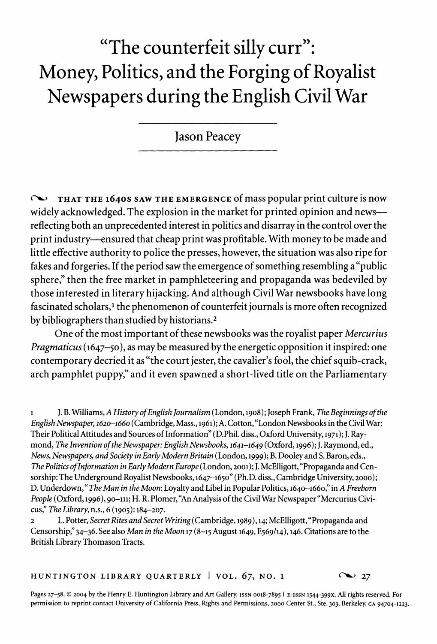# **"The counterfeit silly curr": Money, Politics, and the Forging of Royalist Newspapers during the English Civil War**

**Jason Peacey** 

**(' THAT THE 1640S SAW THE EMERGENCE of mass popular print culture is now widely acknowledged. The explosion in the market for printed opinion and newsreflecting both an unprecedented interest in politics and disarray in the control over the print industry-ensured that cheap print was profitable. With money to be made and little effective authority to police the presses, however, the situation was also ripe for fakes and forgeries. If the period saw the emergence of something resembling a "public sphere," then the free market in pamphleteering and propaganda was bedeviled by those interested in literary hijacking. And although Civil War newsbooks have long**  fascinated scholars,<sup>1</sup> the phenomenon of counterfeit journals is more often recognized **by bibliographers than studied by historians.2** 

**One of the most important of these newsbooks was the royalist paper Mercurius Pragmaticus (1647-50), as may be measured by the energetic opposition it inspired: one contemporary decried it as "the court jester, the cavalier's fool, the chief squib-crack, arch pamphlet puppy," and it even spawned a short-lived title on the Parliamentary** 

**1 J. B. Williams, A History of English Journalism (London, 1908); Joseph Frank, The Beginnings of the English Newspaper, 1620-1660 (Cambridge, Mass., 1961); A. Cotton, "London Newsbooks in the Civil War: Their PoliticalAttitudes and Sources of Information" (D.Phil. diss., Oxford University, 1971); J. Raymond, The Invention of the Newspaper: English Newsbooks, 1641-1649 (Oxford, 1996); J. Raymond, ed., News, Newspapers, and Society in Early Modern Britain (London, 1999); B. Dooleyand S. Baron, eds., The Politics ofInformation in Early Modern Europe (London, 2001); J. McElligott, "Propaganda and Censorship: The Underground Royalist Newsbooks, 1647-1650" (Ph.D. diss., Cambridge University, 2000); D. Underdown," The Man in the Moon: Loyalty and Libel in Popular Politics, 1640-1660," in A Freeborn**  People (Oxford, 1996), 90-111; H. R. Plomer, "An Analysis of the Civil War Newspaper "Mercurius Civi**cus, The Library, n.s., 6 (1905): 184-207.** 

**2 L. Potter, Secret Rites and Secret Writing (Cambridge, 1989), 14; McElligott, "Propaganda and Censorship," 34-36. See also Man in the Moon 17 (8-15 August 1649, E569/14), 146. Citations are to the British Library Thomason Tracts.** 

**HUNTINGTON LIBRARY QUARTERLY | VOL.**  $67$ **, NO. 1**  $\sim$  **27** 

**Pages 27-58. ? 2004 by the Henry E. Huntington Library and Art Gallery. ISSN 0018-7895 I E-ISSN 1544-399X. All rights reserved. For permission to reprint contact University of California Press, Rights and Permissions, 2000 Center St., Ste. 303, Berkeley, CA 94704-1223.**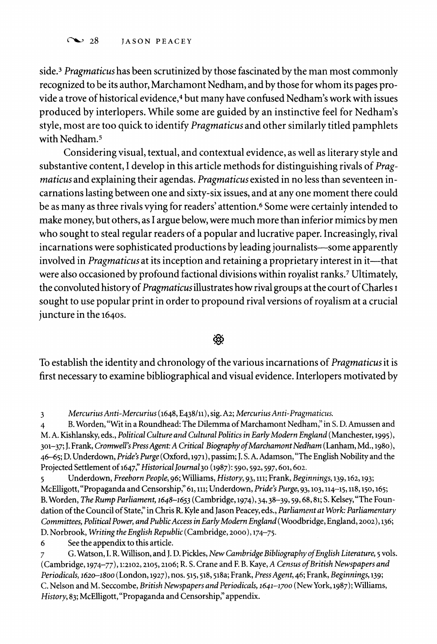**side.3 Pragmaticus has been scrutinized by those fascinated by the man most commonly recognized to be its author, Marchamont Nedham, and by those for whom its pages provide a trove of historical evidence,4 but many have confused Nedham's work with issues produced by interlopers. While some are guided by an instinctive feel for Nedham's style, most are too quick to identify Pragmaticus and other similarly titled pamphlets with Nedham.5** 

**Considering visual, textual, and contextual evidence, as well as literary style and substantive content, I develop in this article methods for distinguishing rivals of Pragmaticus and explaining their agendas. Pragmaticus existed in no less than seventeen incarnations lasting between one and sixty-six issues, and at any one moment there could be as many as three rivals vying for readers' attention.6 Some were certainly intended to make money, but others, as I argue below, were much more than inferior mimics by men who sought to steal regular readers of a popular and lucrative paper. Increasingly, rival incarnations were sophisticated productions by leading journalists-some apparently**  involved in *Pragmaticus* at its inception and retaining a proprietary interest in it—that **were also occasioned by profound factional divisions within royalist ranks.7 Ultimately, the convoluted history of Pragmaticus illustrates how rival groups at the court of Charles I sought to use popular print in order to propound rival versions of royalism at a crucial juncture in the 164os.** 

ф

**To establish the identity and chronology of the various incarnations of Pragmaticus it is first necessary to examine bibliographical and visual evidence. Interlopers motivated by** 

**3 Mercurius Anti-Mercurius (1648, E438/11), sig. A2; Mercurius Anti-Pragmaticus.** 

**4 B. Worden, "Wit in a Roundhead: The Dilemma of Marchamont Nedham," in S. D. Amussen and M. A. Kishlansky, eds., Political Culture and Cultural Politics in Early Modern England (Manchester, 1995),**  301-37; J. Frank, Cromwell's Press Agent: A Critical Biography of Marchamont Nedham (Lanham, Md., 1980), **46-65; D. Underdown, Pride's Purge (Oxford, 1971), passim; J. S. A. Adamson, "The English Nobility and the**  Projected Settlement of 1647," Historical Journal 30 (1987): 590, 592, 597, 601, 602.

**5 Underdown, Freeborn People, 96; Williams, History, 93, 111; Frank, Beginnings, 139,162,193; McElligott, "Propaganda and Censorship," 61, 11; Underdown, Pride's Purge, 93,103,114-15, 118,150,165; B. Worden, The Rump Parliament, 1648-1653 (Cambridge, 1974), 34, 38-39, 59,68,81; S. Kelsey,"The Foundation of the Council of State" in Chris R. Kyle and Jason Peacey, eds., Parliament at Work: Parliamentary Committees, Political Power, and PublicAccess in Early Modern England (Woodbridge, England, 2002), 136; D. Norbrook, Writing the English Republic (Cambridge, 2000), 174-75.** 

**6 See the appendix to this article.** 

**7 G. Watson, I. R. Willison, and J. D. Pickles, New Cambridge Bibliography of English Literature, 5 vols.**  (Cambridge, 1974-77), 1:2102, 2105, 2106; R. S. Crane and F. B. Kaye, A Census of British Newspapers and **Periodicals, 162o-1800 (London, 1927), nos. 515,518,518a; Frank, PressAgent, 46; Frank, Beginnings, 139; C. Nelson and M. Seccombe, British Newspapers and Periodicals, 1641-1700 (New York, 1987); Williams, History, 83; McElligott, "Propaganda and Censorship," appendix.**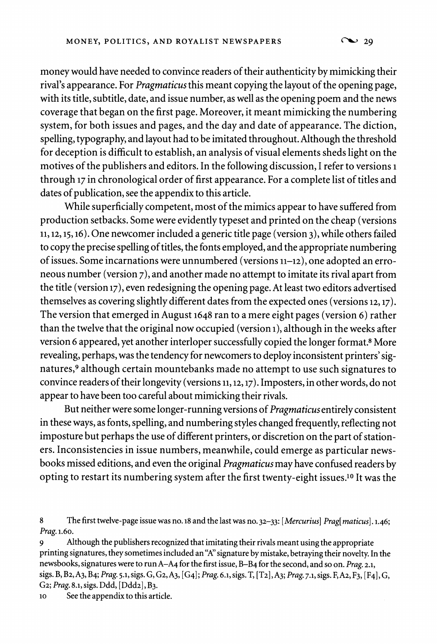**money would have needed to convince readers of their authenticity by mimicking their rival's appearance. For Pragmaticus this meant copying the layout of the opening page, with its title, subtitle, date, and issue number, as well as the opening poem and the news coverage that began on the first page. Moreover, it meant mimicking the numbering system, for both issues and pages, and the day and date of appearance. The diction, spelling, typography, and layout had to be imitated throughout. Although the threshold for deception is difficult to establish, an analysis of visual elements sheds light on the motives of the publishers and editors. In the following discussion, I refer to versions 1 through 17 in chronological order of first appearance. For a complete list of titles and dates of publication, see the appendix to this article.** 

**While superficially competent, most of the mimics appear to have suffered from production setbacks. Some were evidently typeset and printed on the cheap (versions 11, 12,15,16). One newcomer included a generic title page (version 3), while others failed to copy the precise spelling of titles, the fonts employed, and the appropriate numbering of issues. Some incarnations were unnumbered (versions 11-12), one adopted an erroneous number (version 7), and another made no attempt to imitate its rival apart from the title (version 17), even redesigning the opening page. At least two editors advertised themselves as covering slightly different dates from the expected ones (versions 12,17). The version that emerged in August 1648 ran to a mere eight pages (version 6) rather than the twelve that the original now occupied (version i), although in the weeks after version 6 appeared, yet another interloper successfully copied the longer format.8 More revealing, perhaps, was the tendency for newcomers to deploy inconsistent printers' signatures,9 although certain mountebanks made no attempt to use such signatures to convince readers of their longevity (versions 11,12,17). Imposters, in other words, do not appear to have been too careful about mimicking their rivals.** 

**But neither were some longer-running versions of Pragmaticus entirely consistent in these ways, as fonts, spelling, and numbering styles changed frequently, reflecting not imposture but perhaps the use of different printers, or discretion on the part of stationers. Inconsistencies in issue numbers, meanwhile, could emerge as particular newsbooks missed editions, and even the original Pragmaticus may have confused readers by opting to restart its numbering system after the first twenty-eight issues.10 It was the** 

**10 See the appendix to this article.** 

**<sup>8</sup> The first twelve-page issue was no. 18 and the last was no. 32-33: [Mercurius] Prag[ maticus]. 1.46; Prag. 1.60.** 

**<sup>9</sup> Although the publishers recognized that imitating their rivals meant using the appropriate printing signatures, they sometimes included an "A" signature by mistake, betraying their novelty. In the newsbooks, signatures were to run A-A4 for the first issue, B-B4 for the second, and so on. Prag. 2.1, sigs. B, B2,A3, B4; Prag. 5.1, sigs. G, G2,A3, [G4]; Prag. 6.1, sigs. T, [T2],A3; Prag. 7.1, sigs. F,A2, F3, [F4], G, G2; Prag. 8.1, sigs. Ddd, [Ddd2], B3.**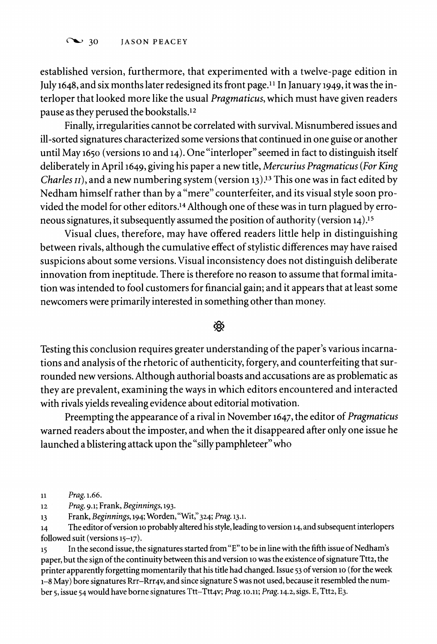**established version, furthermore, that experimented with a twelve-page edition in July 1648, and six months later redesigned its front page.1' In January 1949, it was the interloper that looked more like the usual Pragmaticus, which must have given readers pause as they perused the bookstalls.12** 

**Finally, irregularities cannot be correlated with survival. Misnumbered issues and ill-sorted signatures characterized some versions that continued in one guise or another until May 1650 (versions 10 and 14). One "interloper" seemed in fact to distinguish itself deliberately in April 1649, giving his paper a new title, Mercurius Pragmaticus (For King Charles II), and a new numbering system (version 13).13 This one was in fact edited by Nedham himself rather than by a "mere" counterfeiter, and its visual style soon provided the model for other editors.14 Although one of these was in turn plagued by erroneous signatures, it subsequently assumed the position of authority (version 14).15** 

**Visual clues, therefore, may have offered readers little help in distinguishing between rivals, although the cumulative effect of stylistic differences may have raised suspicions about some versions. Visual inconsistency does not distinguish deliberate innovation from ineptitude. There is therefore no reason to assume that formal imitation was intended to fool customers for financial gain; and it appears that at least some newcomers were primarily interested in something other than money.** 

# י®

**Testing this conclusion requires greater understanding of the paper's various incarnations and analysis of the rhetoric of authenticity, forgery, and counterfeiting that surrounded new versions. Although authorial boasts and accusations are as problematic as they are prevalent, examining the ways in which editors encountered and interacted with rivals yields revealing evidence about editorial motivation.** 

**Preempting the appearance of a rival in November 1647, the editor of Pragmaticus warned readers about the imposter, and when the it disappeared after only one issue he launched a blistering attack upon the "silly pamphleteer" who** 

14 The editor of version 10 probably altered his style, leading to version 14, and subsequent interlopers **followed suit (versions 15-17).** 

**15 In the second issue, the signatures started from "E" to be in line with the fifth issue of Nedham's**  paper, but the sign of the continuity between this and version 10 was the existence of signature Ttt2, the printer apparently forgetting momentarily that his title had changed. Issue 53 of version 10 (for the week **1-8 May) bore signatures Rrr-Rrr4v, and since signature S was not used, because it resembled the number 5, issue 54 would have borne signatures Ttt-Ttt4v; Prag. 10.11; Prag. 14.2, sigs. E, Ttt2, E3.** 

**<sup>11</sup> Prag. 1.66.** 

**<sup>12</sup>Prag. 9.1; Frank, Beginnings, 193.** 

**<sup>13</sup> Frank, Beginnings, 194; Worden, "Wit," 324; Prag. 13.1.**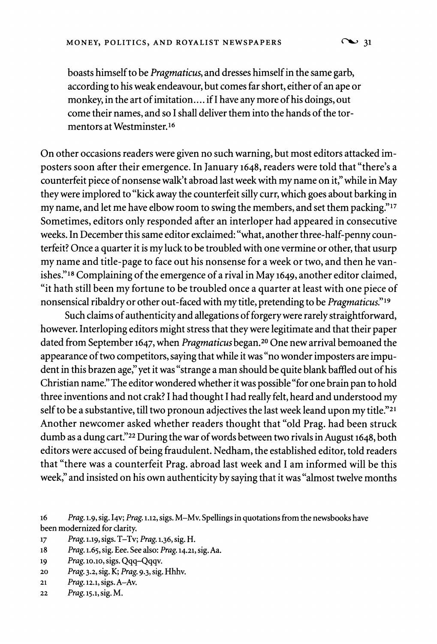$\infty$  31

**boasts himself to be Pragmaticus, and dresses himself in the same garb, according to his weak endeavour, but comes far short, either of an ape or monkey, in the art of imitation.... if I have any more of his doings, out come their names, and so I shall deliver them into the hands of the tormentors at Westminster.16** 

**On other occasions readers were given no such warning, but most editors attacked imposters soon after their emergence. In January 1648, readers were told that "there's a counterfeit piece of nonsense walk't abroad last week with my name on it," while in May they were implored to "kick away the counterfeit silly curr, which goes about barking in my name, and let me have elbow room to swing the members, and set them packing."17 Sometimes, editors only responded after an interloper had appeared in consecutive weeks. In December this same editor exclaimed: "what, another three-half-penny counterfeit? Once a quarter it is my luck to be troubled with one vermine or other, that usurp my name and title-page to face out his nonsense for a week or two, and then he vanishes."'8 Complaining of the emergence of a rival in May 1649, another editor claimed, "it hath still been my fortune to be troubled once a quarter at least with one piece of nonsensical ribaldry or other out-faced with my title, pretending to be Pragmaticus."19** 

**Such claims of authenticity and allegations of forgery were rarely straightforward, however. Interloping editors might stress that they were legitimate and that their paper dated from September 1647, when Pragmaticus began.20 One new arrival bemoaned the appearance of two competitors, saying that while it was "no wonder imposters are impudent in this brazen age," yet it was "strange a man should be quite blank baffled out of his Christian name." The editor wondered whether it was possible "for one brain pan to hold three inventions and not crak? I had thought I had really felt, heard and understood my self to be a substantive, till two pronoun adjectives the last week leand upon my title."21 Another newcomer asked whether readers thought that "old Prag. had been struck dumb as a dung cart."22 During the war of words between two rivals in August 1648, both editors were accused of being fraudulent. Nedham, the established editor, told readers that "there was a counterfeit Prag. abroad last week and I am informed will be this week," and insisted on his own authenticity by saying that it was "almost twelve months** 

**18 Prag. 1.65, sig. Eee. See also: Prag. 14.21, sig. Aa.** 

**<sup>20</sup>Prag. 3.2, sig. K; Prag. 9.3, sig. Hhhv.** 

**<sup>16</sup> Prag. 1.9, sig. I4v; Prag. 1.12, sigs. M-Mv. Spellings in quotations from the newsbooks have been modernized for clarity.**<br> **17** *Prag.* 1.19, sigs. T-Tv;

**<sup>17</sup> Prag. 1.19, sigs. T-Tv; Prag. 1.36, sig. H.** 

**<sup>19</sup> Prag. lo.1o, sigs. Qqq-Qqqv.** 

**<sup>21</sup>Prag. 12.1, sigs. A-Av.** 

**<sup>22</sup>Prag. 15.1, sig. M.**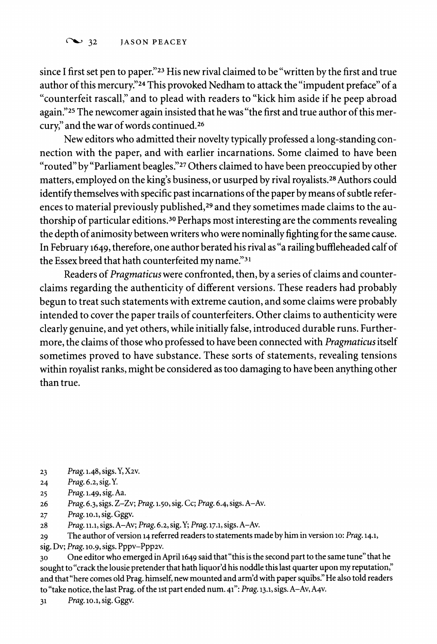**since I first set pen to paper."23 His new rival claimed to be "written by the first and true author of this mercury."24 This provoked Nedham to attack the "impudent preface" of a "counterfeit rascall" and to plead with readers to "kick him aside if he peep abroad again."25 The newcomer again insisted that he was "the first and true author of this mercury," and the war of words continued.26** 

**New editors who admitted their novelty typically professed a long-standing connection with the paper, and with earlier incarnations. Some claimed to have been "routed" by "Parliament beagles."27 Others claimed to have been preoccupied by other matters, employed on the king's business, or usurped by rival royalists.28 Authors could identify themselves with specific past incarnations of the paper by means of subtle references to material previously published,29 and they sometimes made claims to the authorship of particular editions.30 Perhaps most interesting are the comments revealing the depth of animosity between writers who were nominally fighting for the same cause. In February 1649, therefore, one author berated his rival as "a railing buffleheaded calf of the Essex breed that hath counterfeited my name."31** 

**Readers of Pragmaticus were confronted, then, by a series of claims and counterclaims regarding the authenticity of different versions. These readers had probably begun to treat such statements with extreme caution, and some claims were probably intended to cover the paper trails of counterfeiters. Other claims to authenticity were clearly genuine, and yet others, while initially false, introduced durable runs. Furthermore, the claims of those who professed to have been connected with Pragmaticus itself sometimes proved to have substance. These sorts of statements, revealing tensions within royalist ranks, might be considered as too damaging to have been anything other than true.** 

- **23 Prag. 1.48, sigs. Y, X2v.**
- **24 Prag.6.2,sig.Y.**
- **25 Prag. 1.49, sig. Aa.**
- **26 Prag. 6.3, sigs. Z-Zv; Prag. 1.50, sig. Cc; Prag. 6.4, sigs. A-Av.**
- **27 Prag. lo.1, sig. Gggv.**
- **28 Prag. 11.1, sigs. A-Av; Prag. 6.2, sig. Y; Prag. 17.1, sigs. A-Av.**
- **29 The author of version 14 referred readers to statements made by him in version 10: Prag. 14.1,**
- **sig. Dv; Prag. 10.9, sigs. Pppv-Ppp2v.**

**30 One editor who emerged in April 1649 said that "this is the second part to the same tune" that he**  sought to "crack the lousie pretender that hath liquor'd his noddle this last quarter upon my reputation," **and that "here comes old Prag. himself, new mounted and arm'd with paper squibs." He also told readers to "take notice, the last Prag. of the ist part ended num. 41": Prag. 13.1, sigs. A-Av, A4v.** 

**31 Prag. 10.1, sig. Gggv.**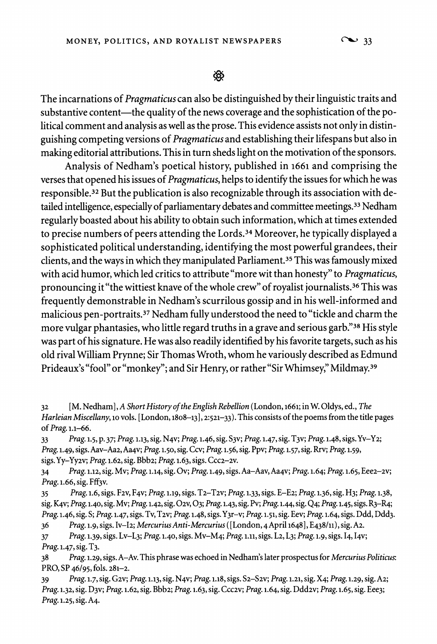</del>

**The incarnations of Pragmaticus can also be distinguished by their linguistic traits and**  substantive content—the quality of the news coverage and the sophistication of the po**litical comment and analysis as well as the prose. This evidence assists not only in distinguishing competing versions of Pragmaticus and establishing their lifespans but also in making editorial attributions. This in turn sheds light on the motivation of the sponsors.** 

**Analysis of Nedham's poetical history, published in 1661 and comprising the verses that opened his issues of Pragmaticus, helps to identify the issues for which he was responsible.32 But the publication is also recognizable through its association with detailed intelligence, especially of parliamentary debates and committee meetings.33 Nedham regularly boasted about his ability to obtain such information, which at times extended to precise numbers of peers attending the Lords.34 Moreover, he typically displayed a sophisticated political understanding, identifying the most powerful grandees, their clients, and the ways in which they manipulated Parliament.35 This was famously mixed with acid humor, which led critics to attribute "more wit than honesty" to Pragmaticus, pronouncing it "the wittiest knave of the whole crew" of royalist journalists.36 This was frequently demonstrable in Nedham's scurrilous gossip and in his well-informed and malicious pen-portraits.37 Nedham fully understood the need to "tickle and charm the more vulgar phantasies, who little regard truths in a grave and serious garb."38 His style was part of his signature. He was also readily identified by his favorite targets, such as his old rival William Prynne; Sir Thomas Wroth, whom he variously described as Edmund Prideaux's "fool" or "monkey"; and Sir Henry, or rather "Sir Whimsey," Mildmay.39** 

- **32 [M. Nedham], A Short History ofthe English Rebellion (London, 1661; in W. Oldys, ed., The Harleian Miscellany, lo vols. [London, 1808-13], 2:521-33). This consists of the poems from the title pages of Prag. 1.1-66.**
- **33 Prag. 1.5, p. 37; Prag. 1.13, sig. N4v; Prag. 1.46, sig. S3v; Prag. 1.47, sig. T3v; Prag. 1.48, sigs.Yv-Y2; Prag. 1.49, sigs. Aav-Aa2,Aa4v; Prag. 1.50, sig. Ccv; Prag. 1.56, sig. Ppv; Prag. 1.57, sig. Rrv; Prag. 1.59, sigs. Yy-Yy2v; Prag. 1.62, sig. Bbb2; Prag. 1.63, sigs. Ccc2-2v.**
- **34 Prag. 1.12, sig. Mv; Prag. 1.14, sig. Ov; Prag. 1.49, sigs. Aa-Aav, Aa4v; Prag. 1.64; Prag. 1.65, Eee2-2v; Prag. 1.66, sig. Fff3v.**
- **35 Prag. 1.6, sigs. F2v, F4v; Prag. 1.19, sigs. T2-T2v; Prag. 1.33, sigs. E-E2; Prag. 1.36, sig. H3; Prag. 1.38, sig. K4v; Prag. 1.40, sig. Mv; Prag. 1.42, sig. 02v, 03; Prag. 1.43, sig. Pv; Prag. 1.44, sig. Q4; Prag. 1.45, sigs. R3-R4; Prag. 1.46, sig. S; Prag. 1.47, sigs. Tv, T2v; Prag. 1.48, sigs. Y3r-v; Prag. 1.51, sig. Eev; Prag. 1.64, sigs. Ddd, Ddd3.**
- **36 Prag. 1.9, sigs. Iv-I2; MercuriusAnti-Mercurius ([London, 4April 1648], E438/11), sig. A2. 37 Prag. 1.39, sigs. Lv-L3; Prag. 1.40, sigs. Mv-M4; Prag. 1.11, sigs. L2, L3; Prag. 1.9, sigs. 14, I4v;**
- **Prag. 1.47, sig. T3.**
- **38 Prag. 1.29, sigs. A-Av. This phrase was echoed in Nedham's later prospectus for Mercurius Politicus: PRO, SP 46/95, fols. 281-2.**
- **39 Prag. 1.7, sig. G2v; Prag. 1.13, sig. N4v; Prag. 1.18, sigs. S2-S2v; Prag. 1.21, sig. X4; Prag. 1.29, sig. A2; Prag. 1.32, sig. D3v; Prag. 1.62, sig. Bbb2; Prag. 1.63, sig. Ccc2v; Prag. 1.64, sig. Ddd2v; Prag. 1.65, sig. Eee3; Prag. 1.25, sig. A4.**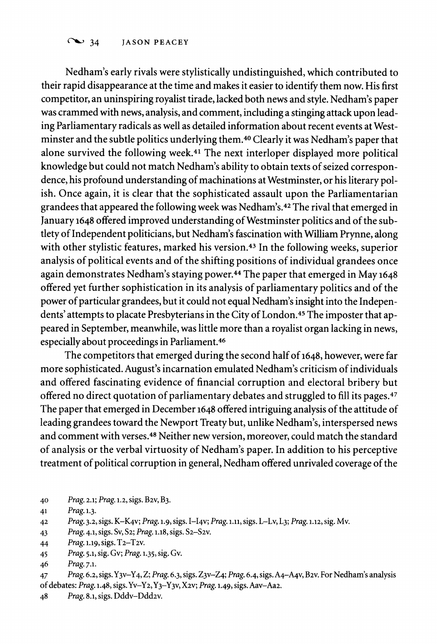# <sup>34</sup> JASON PEACEY

**Nedham's early rivals were stylistically undistinguished, which contributed to their rapid disappearance at the time and makes it easier to identify them now. His first competitor, an uninspiring royalist tirade, lacked both news and style. Nedham's paper was crammed with news, analysis, and comment, including a stinging attack upon leading Parliamentary radicals as well as detailed information about recent events at Westminster and the subtle politics underlying them.40 Clearly it was Nedham's paper that alone survived the following week.41 The next interloper displayed more political knowledge but could not match Nedham's ability to obtain texts of seized correspondence, his profound understanding of machinations at Westminster, or his literary polish. Once again, it is clear that the sophisticated assault upon the Parliamentarian grandees that appeared the following week was Nedham's.42 The rival that emerged in January 1648 offered improved understanding of Westminster politics and of the subtlety of Independent politicians, but Nedham's fascination with William Prynne, along with other stylistic features, marked his version.43 In the following weeks, superior analysis of political events and of the shifting positions of individual grandees once again demonstrates Nedham's staying power.44 The paper that emerged in May 1648 offered yet further sophistication in its analysis of parliamentary politics and of the power of particular grandees, but it could not equal Nedham's insight into the Independents' attempts to placate Presbyterians in the City of London.45 The imposter that appeared in September, meanwhile, was little more than a royalist organ lacking in news, especially about proceedings in Parliament.46** 

**The competitors that emerged during the second half of 1648, however, were far more sophisticated. August's incarnation emulated Nedham's criticism of individuals and offered fascinating evidence of financial corruption and electoral bribery but offered no direct quotation of parliamentary debates and struggled to fill its pages.47 The paper that emerged in December 1648 offered intriguing analysis of the attitude of leading grandees toward the Newport Treaty but, unlike Nedham's, interspersed news and comment with verses.48 Neither new version, moreover, could match the standard of analysis or the verbal virtuosity of Nedham's paper. In addition to his perceptive treatment of political corruption in general, Nedham offered unrivaled coverage of the** 

- **40 Prag. 2.1; Prag. 1.2, sigs. B2v, B3.**
- **41 Prag. 1.3.**
- **42 Prag. 3.2, sigs. K-K4v; Prag. 1.9, sigs. I-I4V; Prag. 1.11, sigs. L-Lv, L3; Prag. 1.12, sig. Mv.**
- **43 Prag. 4.1, sigs. Sv, S2; Prag. 1.18, sigs. S2-S2v.**
- **44 Prag. 1.19, sigs. T2-T2v.**
- **45 Prag. 5.1, sig. Gv; Prag. 1.35, sig. Gv.**

**47 Prag. 6.2, sigs.Y3v-Y4, Z; Prag. 6.3, sigs. Z3v-Z4; Prag. 6.4, sigs. A4-A4v, B2v. For Nedham's analysis of debates: Prag. 1.48, sigs. Yv-Y2,Y3-Y3v, X2v; Prag. 1.49, sigs. Aav-Aa2.** 

**48 Prag. 8.1, sigs. Dddv-Ddd2v.** 

**<sup>46</sup> Prag. 7.1.**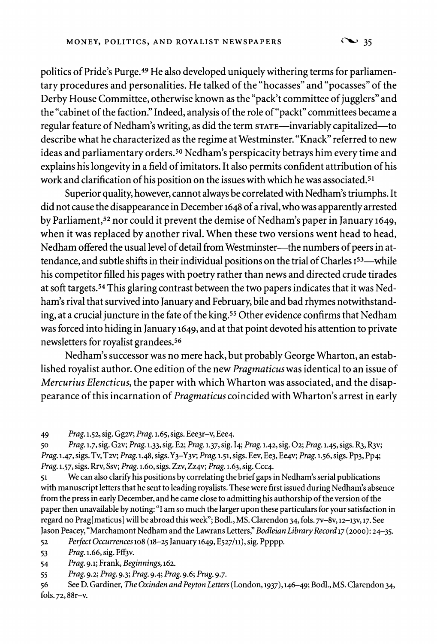**politics of Pride's Purge.49 He also developed uniquely withering terms for parliamentary procedures and personalities. He talked of the "hocasses" and "pocasses" of the Derby House Committee, otherwise known as the "pack't committee of jugglers" and the "cabinet of the faction." Indeed, analysis of the role of"packt" committees became a regular feature of Nedham's writing, as did the term STATE-invariably capitalized-to describe what he characterized as the regime at Westminster. "Knack" referred to new ideas and parliamentary orders.50 Nedham's perspicacity betrays him every time and explains his longevity in a field of imitators. It also permits confident attribution of his work and clarification of his position on the issues with which he was associated.51** 

**Superior quality, however, cannot always be correlated with Nedham's triumphs. It did not cause the disappearance in December 1648 of a rival, who was apparently arrested by Parliament,52 nor could it prevent the demise of Nedham's paper in January 1649, when it was replaced by another rival. When these two versions went head to head,**  Nedham offered the usual level of detail from Westminster--- the numbers of peers in attendance, and subtle shifts in their individual positions on the trial of Charles I<sup>53</sup>—while **his competitor filled his pages with poetry rather than news and directed crude tirades at soft targets.54 This glaring contrast between the two papers indicates that it was Nedham's rival that survived into January and February, bile and bad rhymes notwithstanding, at a crucial juncture in the fate of the king.55 Other evidence confirms that Nedham was forced into hiding in January 1649, and at that point devoted his attention to private newsletters for royalist grandees.56** 

**Nedham's successor was no mere hack, but probably George Wharton, an established royalist author. One edition of the new Pragmaticus was identical to an issue of Mercurius Elencticus, the paper with which Wharton was associated, and the disappearance of this incarnation of Pragmaticus coincided with Wharton's arrest in early** 

**49 Prag. 1.52, sig. Gg2v; Prag. 1.65, sigs. Eee3r-v, Eee4.** 

**50 Prag. 1.7, sig. G2v; Prag. 1.33, sig. E2; Prag. 1.37, sig. 14; Prag. 1.42, sig. 02; Prag. 1.45, sigs. R3, R3v; Prag. 1.47, sigs. Tv, T2v; Prag. 1.48, sigs. Y3-Y3v; Prag. 1.51, sigs. Eev, Ee3, Ee4v; Prag. 1.56, sigs. Pp3, Pp4; Prag. 1.57, sigs. Rrv, Ssv; Prag. 1.60, sigs. Zzv, Zz4v; Prag. 1.63, sig. Ccc4.** 

**51 We can also clarify his positions by correlating the brief gaps in Nedham's serial publications with manuscript letters that he sent to leading royalists. These were first issued during Nedham's absence from the press in early December, and he came close to admitting his authorship of the version of the paper then unavailable by noting: "I am so much the larger upon these particulars for your satisfaction in regard no Prag[maticus] will be abroad this week"; Bodl., MS. Clarendon 34, fols. 7v-8v, 12-13v, 17. See**  Jason Peacey, "Marchamont Nedham and the Lawrans Letters," *Bodleian Library Record* 17 (2000): 24–35.<br>52 Perfect Occurrences 108 (18–25 January 1649, E527/11), sig. Ppppp.

**52 Perfect Occurrences 108 (18-25 January 1649, E527/11), sig. Ppppp.** 

**53 Prag. 1.66, sig. Fff3v.** 

**54 Prag. 9.1; Frank, Beginnings, 162.** 

**55 Prag. 9.2; Prag. 9.3; Prag. 9.4; Prag. 9.6; Prag. 9.7.** 

**56 See D. Gardiner, The Oxinden and Peyton Letters (London, 1937),146-49; Bodl., MS. Clarendon 34, fols. 72, 88r-v.**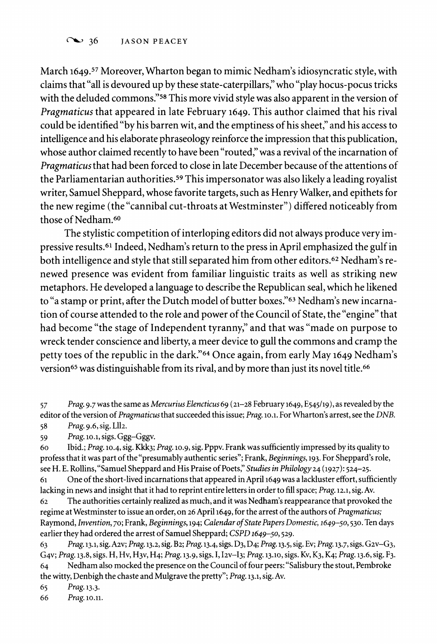### <sup>36</sup> JASON PEACEY

**March 1649.57 Moreover, Wharton began to mimic Nedham's idiosyncratic style, with claims that "all is devoured up by these state-caterpillars," who "play hocus-pocus tricks with the deluded commons."58 This more vivid style was also apparent in the version of Pragmaticus that appeared in late February 1649. This author claimed that his rival could be identified "by his barren wit, and the emptiness of his sheet," and his access to intelligence and his elaborate phraseology reinforce the impression that this publication, whose author claimed recently to have been "routed," was a revival of the incarnation of Pragmaticus that had been forced to close in late December because of the attentions of the Parliamentarian authorities.59 This impersonator was also likely a leading royalist writer, Samuel Sheppard, whose favorite targets, such as Henry Walker, and epithets for the new regime (the "cannibal cut-throats at Westminster") differed noticeably from those of Nedham.60** 

**The stylistic competition of interloping editors did not always produce very impressive results.61 Indeed, Nedham's return to the press in April emphasized the gulf in both intelligence and style that still separated him from other editors.62 Nedham's renewed presence was evident from familiar linguistic traits as well as striking new metaphors. He developed a language to describe the Republican seal, which he likened to "a stamp or print, after the Dutch model of butter boxes."63 Nedham's new incarnation of course attended to the role and power of the Council of State, the "engine" that had become "the stage of Independent tyranny," and that was "made on purpose to wreck tender conscience and liberty, a meer device to gull the commons and cramp the petty toes of the republic in the dark."64 Once again, from early May 1649 Nedham's version65 was distinguishable from its rival, and by more than just its novel title.66** 

**59 Prag. lo.1, sigs. Ggg-Gggv.** 

**60 Ibid.; Prag. 10.4, sig. Kkk3; Prag. 1o.9, sig. Pppv. Frank was sufficiently impressed by its quality to profess that it was part of the "presumably authentic series"; Frank, Beginnings, 193. For Sheppard's role, see H. E. Rollins,"Samuel Sheppard and His Praise of Poets," Studies in Philology 24 (1927): 524-25.** 

**61 One of the short-lived incarnations that appeared in April 1649 was a lackluster effort, sufficiently**  lacking in news and insight that it had to reprint entire letters in order to fill space; *Prag.* 12.1, sig. Av. <br>62 The authorities certainly realized as much, and it was Nedham's reappearance that provoke

**<sup>62</sup>The authorities certainly realized as much, and it was Nedham's reappearance that provoked the regime at Westminster to issue an order, on 26 April 1649, for the arrest of the authors of Pragmaticus; Raymond, Invention, 70; Frank, Beginnings, 194; Calendar ofState Papers Domestic, 1649-50,530. Ten days earlier they had ordered the arrest of Samuel Sheppard; CSPD 1649-50, 529.** 

**63 Prag. 13.1, sig. Azv; Prag. 13.2, sig. B2; Prag. 13.4, sigs. D3, D4; Prag. 13.5, sig. Ev; Prag. 13.7, sigs. G2v-G3, G4v; Prag. 13.8, sigs. H, Hv, H3v, H4; Prag. 13.9, sigs. I, I2v-I3; Prag. 13.10, sigs. Kv, K3, K4; Prag. 13.6, sig. F3. 64 Nedham also mocked the presence on the Council of four peers: "Salisbury the stout, Pembroke the witty, Denbigh the chaste and Mulgrave the pretty"; Prag. 13.1, sig. Av.** 

**65 Prag. 13.3.** 

Prag. 10.11.

**<sup>57</sup> Prag. 9.7 was the same as Mercurius Elencticus 69 (21-28 February 1649, E545/19), as revealed by the editor of the version of Pragmaticusthat succeeded this issue; Prag. lo.l. For Wharton's arrest, see the DNB. 58 Prag. 9.6, sig. L112.**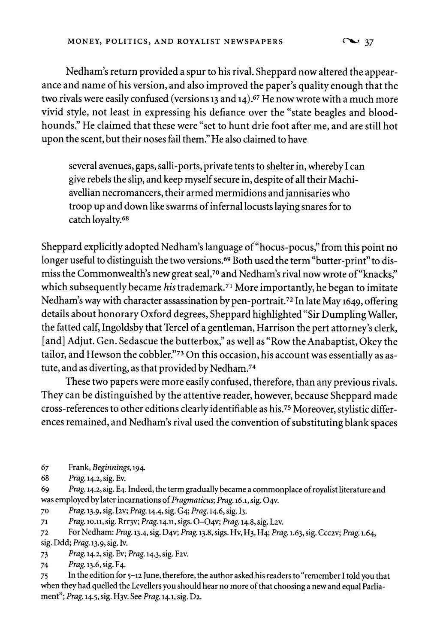**Nedham's return provided a spur to his rival. Sheppard now altered the appearance and name of his version, and also improved the paper's quality enough that the two rivals were easily confused (versions 13 and 14).67 He now wrote with a much more vivid style, not least in expressing his defiance over the "state beagles and bloodhounds." He claimed that these were "set to hunt drie foot after me, and are still hot upon the scent, but their noses fail them." He also claimed to have** 

**several avenues, gaps, salli-ports, private tents to shelter in, whereby I can give rebels the slip, and keep myself secure in, despite of all their Machiavellian necromancers, their armed mermidions and jannisaries who troop up and down like swarms of infernal locusts laying snares for to catch loyalty.68** 

**Sheppard explicitly adopted Nedham's language of"hocus-pocus," from this point no longer useful to distinguish the two versions.69 Both used the term "butter-print" to dismiss the Commonwealth's new great seal,70 and Nedham's rival now wrote of"knacks," which subsequently became his trademark.71 More importantly, he began to imitate Nedham's way with character assassination by pen-portrait.72 In late May 1649, offering details about honorary Oxford degrees, Sheppard highlighted "Sir Dumpling Waller, the fatted calf, Ingoldsby that Tercel of a gentleman, Harrison the pert attorney's clerk, [and] Adjut. Gen. Sedascue the butterbox," as well as "Row the Anabaptist, Okey the tailor, and Hewson the cobbler."73 On this occasion, his account was essentially as astute, and as diverting, as that provided by Nedham.74** 

**These two papers were more easily confused, therefore, than any previous rivals. They can be distinguished by the attentive reader, however, because Sheppard made cross-references to other editions clearly identifiable as his.75 Moreover, stylistic differences remained, and Nedham's rival used the convention of substituting blank spaces** 

**68 Prag. 14.2, sig. Ev.** 

**69 Prag. 14.2, sig. E4. Indeed, the term gradually became a commonplace of royalist literature and was employed by later incarnations of Pragmaticus; Prag. 16.1, sig. 04v.** 

**70 Prag. 13.9, sig. I2v; Prag. 14.4, sig. G4; Prag. 14.6, sig. 13.** 

**71 Prag. 10.11, sig. Rrr3v; Prag. 14.11, sigs. 0-04v; Prag. 14.8, sig. L2v.** 

**<sup>72</sup>For Nedham: Prag. 13.4, sig. D4v; Prag. 13.8, sigs. Hv, H3, H4; Prag. 1.63, sig. Ccc2v; Prag. 1.64, sig. Ddd; Prag. 13.9, sig. Iv.** 

**73 Prag. 14.2, sig. Ev; Prag. 14.3, sig. F2v.** 

**74 Prag. 13.6, sig. F4.** 

**75 In the edition for 5-12 June, therefore, the author asked his readers to "remember I told you that when they had quelled the Levellers you should hear no more of that choosing a new and equal Parliament"; Prag. 14.5, sig. H3v. See Prag. 14.1, sig. D2.** 

**<sup>67</sup> Frank, Beginnings, 194.**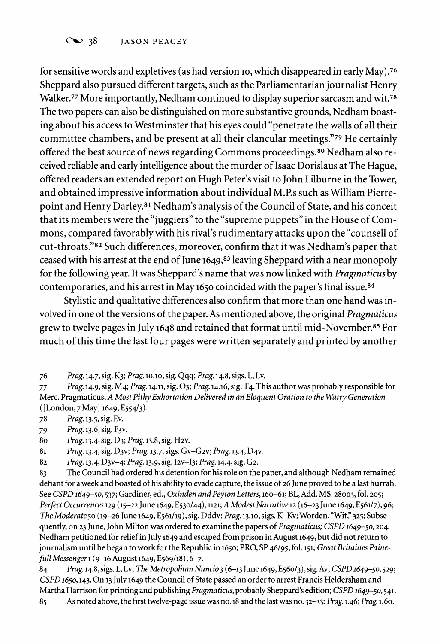### <sup>38</sup> JASON PEACEY

for sensitive words and expletives (as had version 10, which disappeared in early May).<sup>76</sup> **Sheppard also pursued different targets, such as the Parliamentarian journalist Henry Walker.77 More importantly, Nedham continued to display superior sarcasm and wit.78 The two papers can also be distinguished on more substantive grounds, Nedham boasting about his access to Westminster that his eyes could "penetrate the walls of all their committee chambers, and be present at all their clancular meetings."79 He certainly offered the best source of news regarding Commons proceedings.80 Nedham also received reliable and early intelligence about the murder of Isaac Dorislaus at The Hague, offered readers an extended report on Hugh Peter's visit to John Lilburne in the Tower, and obtained impressive information about individual M.P.s such as William Pierrepoint and Henry Darley.81 Nedham's analysis of the Council of State, and his conceit that its members were the "jugglers" to the "supreme puppets" in the House of Commons, compared favorably with his rival's rudimentary attacks upon the "counsell of cut-throats."82 Such differences, moreover, confirm that it was Nedham's paper that ceased with his arrest at the end of June 1649,83 leaving Sheppard with a near monopoly for the following year. It was Sheppard's name that was now linked with Pragmaticus by contemporaries, and his arrest in May 1650 coincided with the paper's final issue.84** 

**Stylistic and qualitative differences also confirm that more than one hand was involved in one of the versions of the paper. As mentioned above, the original Pragmaticus grew to twelve pages in July 1648 and retained that format until mid-November.85 For much of this time the last four pages were written separately and printed by another** 

- **78 Prag. 13.5, sig. Ev.**
- **79 Prag. 13.6, sig. F3v.**
- **80 Prag. 13.4, sig. D3; Prag. 13.8, sig. H2v.**
- **81 Prag. 13.4, sig. D3v; Prag. 13.7, sigs. Gv-G2v; Prag. 13.4, D4v.**
- **82 Prag. 13.4, D3v-4; Prag. 13.9, sig. I2V-I3; Prag. 14.4, sig. G2.**

**83 The Council had ordered his detention for his role on the paper, and although Nedham remained defiant for a week and boasted of his ability to evade capture, the issue of 26 June proved to be a last hurrah. See CSPD 1649-50, 537; Gardiner, ed., Oxinden and Peyton Letters, 160-61; BL, Add. MS. 28003, fol. 205; Perfect Occurrences 129 (15-22 June 1649, E530/44), 1121; A ModestNarrative12 (16-23 June 1649, E561/7), 96;**  The Moderate 50 (19-26 June 1649, E561/19), sig. Dddv; Prag. 13.10, sigs. K-Kv; Worden, "Wit," 325; Subse**quently, on 23 June, John Milton was ordered to examine the papers of Pragmaticus; CSPD 1649-50,204. Nedham petitioned for relief in July 1649 and escaped from prison in August 1649, but did not return to**  journalism until he began to work for the Republic in 1650; PRO, SP 46/95, fol. 151; Great Britaines Paine**full Messenger 1 (9-16 August 1649, E569/18), 6-7.** 

**84 Prag. 14.8, sigs. L, Lv; The Metropolitan Nuncio 3 (6-13 June 1649, E560/3), sig. Av; CSPD 1649-50, 529; CSPD 165, 143. On 13 July 1649 the Council of State passed an order to arrest Francis Heldersham and**  Martha Harrison for printing and publishing *Pragmaticus*, probably Sheppard's edition; CSPD 1649–50, 541.<br>85 As noted above, the first twelve-page issue was no. 18 and the last was no. 32–33: *Prag.* 1.46; *Prag.* 1.60. **85 As noted above, the first twelve-page issue was no. 18 and the last was no. 32-33: Prag. 1.46; Prag. 1.60.** 

**<sup>76</sup> Prag. 14.7, sig. K3; Prag. o10.o, sig. Qqq; Prag. 14.8, sigs. L, Lv.** 

**<sup>77</sup> Prag. 14.9, sig. M4; Prag. 14.11, sig. 03; Prag. 14.16, sig. T4. This author was probably responsible for Merc. Pragmaticus, A Most Pithy Exhortation Delivered in an Eloquent Oration to the Watry Generation ([London, 7 May] 1649, E554/3).**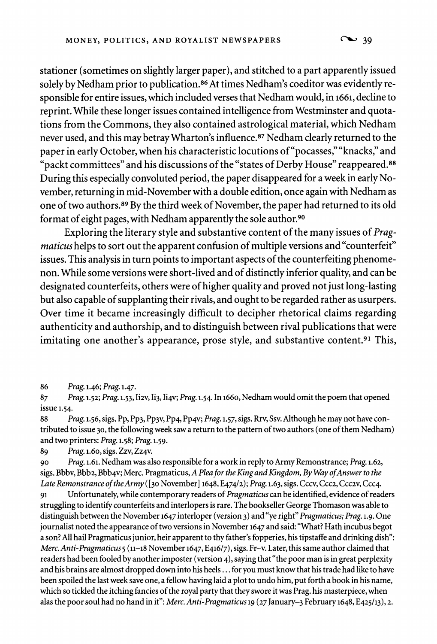**stationer (sometimes on slightly larger paper), and stitched to a part apparently issued solely by Nedham prior to publication.86 At times Nedham's coeditor was evidently responsible for entire issues, which included verses that Nedham would, in 1661, decline to reprint. While these longer issues contained intelligence from Westminster and quotations from the Commons, they also contained astrological material, which Nedham never used, and this may betray Wharton's influence.87 Nedham clearly returned to the paper in early October, when his characteristic locutions of"pocasses,""knacks," and "packt committees" and his discussions of the "states of Derby House" reappeared.88 During this especially convoluted period, the paper disappeared for a week in early November, returning in mid-November with a double edition, once again with Nedham as one of two authors.89 By the third week of November, the paper had returned to its old format of eight pages, with Nedham apparently the sole author.90** 

**Exploring the literary style and substantive content of the many issues of Pragmaticus helps to sort out the apparent confusion of multiple versions and "counterfeit" issues. This analysis in turn points to important aspects of the counterfeiting phenomenon. While some versions were short-lived and of distinctly inferior quality, and can be designated counterfeits, others were of higher quality and proved not just long-lasting but also capable of supplanting their rivals, and ought to be regarded rather as usurpers. Over time it became increasingly difficult to decipher rhetorical claims regarding authenticity and authorship, and to distinguish between rival publications that were imitating one another's appearance, prose style, and substantive content.91 This,** 

**86 Prag. 1.46; Prag. 1.47.** 

**87 Prag. 1.52; Prag. 1.53, Ii2v, Ii3, Ii4v; Prag. 1.54. In 1660, Nedham would omit the poem that opened issue 1.54.** 

**88 Prag. 1.56, sigs. Pp, Pp3, Pp3v, Pp4, Pp4v; Prag. 1.57, sigs. Rrv, Ssv. Although he may not have contributed to issue 30, the following week saw a return to the pattern of two authors (one of them Nedham) and two printers: Prag. 1.58; Prag. 1.59.** 

**89 Prag. 1.60, sigs. Zzv, Zz4v.** 

**90 Prag. 1.61. Nedham was also responsible for a work in reply to Army Remonstrance; Prag. 1.62,**  sigs. Bbbv, Bbb2, Bbb4v; Merc. Pragmaticus, A Plea for the King and Kingdom, By Way of Answer to the Late Remonstrance of the Army ([30 November] 1648, E474/2); Prag. 1.63, sigs. Cccv, Ccc2, Ccc2v, Ccc4. **Dependent**<br>91 Unfortunately, while contemporary readers of *Pragmaticus* can be identified, evidence of read

**91 Unfortunately, while contemporary readers of Pragmaticus can be identified, evidence of readers struggling to identify counterfeits and interlopers is rare. The bookseller George Thomason was able to distinguish between the November 1647 interloper (version 3) and"ye right" Pragmaticus; Prag. 1.9. One journalist noted the appearance of two versions in November 1647 and said: "What? Hath incubus begot a son? All hail Pragmaticus junior, heir apparent to thy father's fopperies, his tipstaffe and drinking dish": Merc. Anti-Pragmaticus 5 (11-18 November 1647, E416/7), sigs. Fr-v. Later, this same author claimed that readers had been fooled by another imposter (version 4), saying that "the poor man is in great perplexity and his brains are almost dropped down into his heels... for you must know that his trade had like to have been spoiled the last week save one, a fellow having laid a plot to undo him, put forth a book in his name, which so tickled the itching fancies of the royal party that they swore it was Prag. his masterpiece, when alas the poor soul had no hand in it": Merc. Anti-Pragmaticus 19 (27 January-3 February 1648, E425/13), 2.**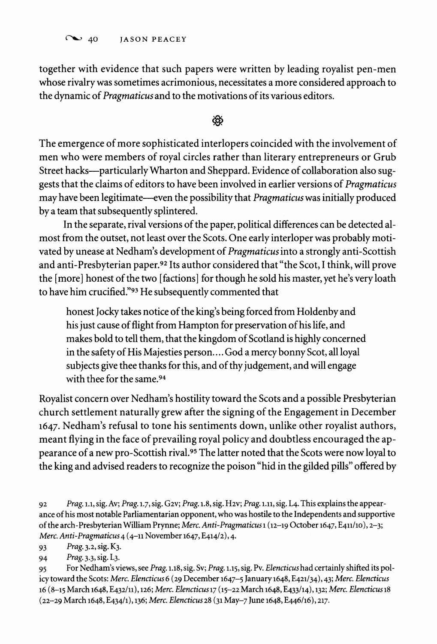C<sub>40</sub> JASON PEACEY

**together with evidence that such papers were written by leading royalist pen-men whose rivalry was sometimes acrimonious, necessitates a more considered approach to the dynamic of Pragmaticus and to the motivations of its various editors.** 

# </del>

**The emergence of more sophisticated interlopers coincided with the involvement of men who were members of royal circles rather than literary entrepreneurs or Grub Street hacks-particularly Wharton and Sheppard. Evidence of collaboration also suggests that the claims of editors to have been involved in earlier versions of Pragmaticus may have been legitimate-even the possibility that Pragmaticus was initially produced by a team that subsequently splintered.** 

**In the separate, rival versions of the paper, political differences can be detected almost from the outset, not least over the Scots. One early interloper was probably motivated by unease at Nedham's development of Pragmaticus into a strongly anti-Scottish and anti-Presbyterian paper.92 Its author considered that "the Scot, I think, will prove the [more] honest of the two [factions] for though he sold his master, yet he's very loath to have him crucified."93 He subsequently commented that** 

**honest Jocky takes notice of the king's being forced from Holdenby and his just cause of flight from Hampton for preservation of his life, and makes bold to tell them, that the kingdom of Scotland is highly concerned in the safety of His Majesties person.... God a mercy bonny Scot, all loyal subjects give thee thanks for this, and of thy judgement, and will engage with thee for the same.94** 

**Royalist concern over Nedham's hostility toward the Scots and a possible Presbyterian church settlement naturally grew after the signing of the Engagement in December 1647. Nedham's refusal to tone his sentiments down, unlike other royalist authors, meant flying in the face of prevailing royal policy and doubtless encouraged the appearance of a new pro-Scottish rival.95 The latter noted that the Scots were now loyal to the king and advised readers to recognize the poison "hid in the gilded pills" offered by** 

**93 Prag. 3.2, sig. K3.** 

Prag. 3.3, sig. L<sub>3</sub>.

**95 For Nedham's views, see Prag. 1.18, sig. Sv; Prag. 1.15, sig. Pv. Elencticus had certainly shifted its policy toward the Scots: Merc. Elencticus 6 (29 December 1647-5 January 1648, E421/34), 43; Merc. Elencticus 16 (8-15 March 1648, E432/11), 126; Merc. Elencticusl7 (15-22 March 1648, E433/14), 132; Merc. Elencticusl8 (22-29 March 1648, E434/1), 136; Merc. Elencticus 28 (31 May-7 June 1648, E446/16), 217.** 

**<sup>92</sup> Prag. 1.1, sig. Av; Prag. 1.7, sig. G2v; Prag. 1.8, sig. H2v; Prag. 1.11, sig. L4. This explains the appearance of his most notable Parliamentarian opponent, who was hostile to the Independents and supportive of the arch-Presbyterian William Prynne; Merc. Anti-Pragmaticus 1 (12-19 October 1647, E411lo), 2-3; Merc. Anti-Pragmaticus 4 (4-11 November 1647, E414/2), 4.**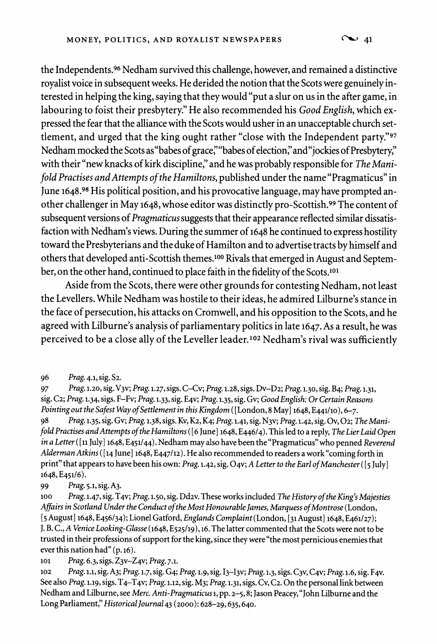**the Independents.96 Nedham survived this challenge, however, and remained adistinctive royalist voice in subsequent weeks. He derided the notion that the Scots were genuinely interested in helping the king, saying that they would "put a slur on us in the after game, in labouring to foist their presbytery." He also recommended his Good English, which expressed the fear that the alliance with the Scots would usher in an unacceptable church settlement, and urged that the king ought rather "close with the Independent party."97**  Nedham mocked the Scots as "babes of grace," "babes of election," and "jockies of Presbytery," **with their "new knacks of kirk discipline," and he was probably responsible for The Manifold Practises and Attempts of the Hamiltons, published under the name "Pragmaticus" in June 1648.98 His political position, and his provocative language, may have prompted another challenger in May 1648, whose editor was distinctly pro-Scottish.99 The content of subsequent versions of Pragmaticus suggests that their appearance reflected similar dissatisfaction with Nedham's views. During the summer of 1648 he continued to express hostility toward the Presbyterians and the duke of Hamilton and to advertise tracts by himself and others that developed anti-Scottish themes.'00 Rivals that emerged in August and September, on the other hand, continued to place faith in the fidelity of the Scots.101** 

**Aside from the Scots, there were other grounds for contesting Nedham, not least the Levellers. While Nedham was hostile to their ideas, he admired Lilburne's stance in the face of persecution, his attacks on Cromwell, and his opposition to the Scots, and he agreed with Lilburne's analysis of parliamentary politics in late 1647. As a result, he was perceived to be a close ally of the Leveller leader.102 Nedham's rival was sufficiently** 

**97 Prag. 1.20, sig. V3v; Prag. 1.27, sigs. C-Cv; Prag. 1.28, sigs. Dv-D2; Prag. 1.30, sig. B4; Prag. 1.31, sig. C2; Prag. 1.34, sigs. F-Fv; Prag. 1.33, sig. E4v; Prag. 1.35, sig. Gv; Good English: Or Certain Reasons Pointing out the Safest Way of Settlement in this Kingdom ([London, 8 May] 1648, E441/1o), 6-7.** 

**98 Prag. 1.35, sig. Gv; Prag. 1.38, sigs. Kv, K2, K4; Prag. 1.41, sig. N3v; Prag. 1.42, sig. Ov, 02; The Manifold Practises andAttempts of the Hamiltons ( [6 June] 1648, E446/4). This led to a reply, The LierLaid Open in a Letter( [11 July] 1648, E451/44). Nedham may also have been the "Pragmaticus" who penned Reverend Alderman Atkins ([14 June] 1648, E447/12). He also recommended to readers a work "coming forth in print" that appears to have been his own: Prag. 1.42, sig. 04v; A Letter to the Earl ofManchester( [5 July] 1648, E451/6).** 

**99 Prag. 5.1, sig. A3.** 

**100 Prag. 1.47, sig. T4v; Prag. 1.50, sig. Dd2v. These works included The History of the King's Majesties**  Affairs in Scotland Under the Conduct of the Most Honourable James, Marquess of Montrose (London, **[5 August] 1648, E456/34); Lionel Gatford, Englands Complaint(London, [31 August] 1648, E461/27); J. B. C., A Venice Looking-Glasse (1648, E525/19), 16. The latter commented that the Scots were not to be trusted in their professions of support for the king, since they were "the most pernicious enemies that**  ever this nation had" (p. 16).<br>
101 Prag. 6.3, sigs. Z<sub>3</sub>y-Z

**101 Prag. 6.3, sigs. Z3v-Z4v; Prag. 7.1.** 

**<sup>102</sup>Prag. 1.1, sig. A3; Prag. 1.7, sig. G4; Prag. 1.9, sig. I3-I3v; Prag. 1.3, sigs. C3v, C4v; Prag. 1.6, sig. F4v. See also Prag. 1.19, sigs. T4-T4v; Prag. 1.12, sig. M3; Prag. 1.31, sigs. Cv, C2. On the personal link between Nedham and Lilburne, see Merc. Anti-Pragmaticus 1, pp. 2-5,8; Jason Peacey, "John Lilburne and the Long Parliament," Historical Journal 43 (2000): 628-29,635,640.** 

**<sup>96</sup> Prag. 4.1, sig. S2.**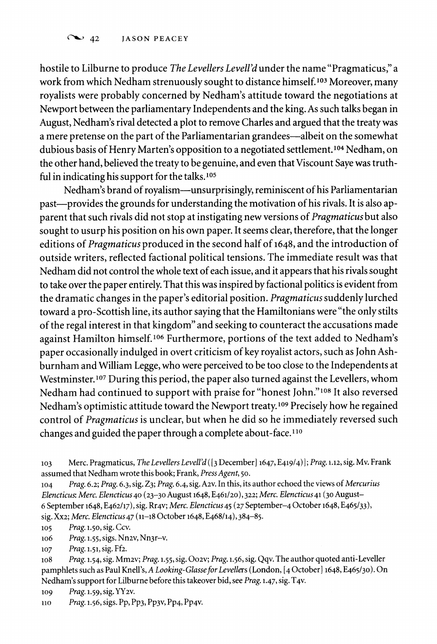**hostile to Lilburne to produce The Levellers Levell'd under the name "Pragmaticus," a work from which Nedham strenuously sought to distance himself.103 Moreover, many royalists were probably concerned by Nedham's attitude toward the negotiations at Newport between the parliamentary Independents and the king. As such talks began in August, Nedham's rival detected a plot to remove Charles and argued that the treaty was a mere pretense on the part of the Parliamentarian grandees-albeit on the somewhat dubious basis of Henry Marten's opposition to a negotiated settlement.104 Nedham, on the other hand, believed the treaty to be genuine, and even that Viscount Saye was truthful in indicating his support for the talks.105** 

**Nedham's brand of royalism-unsurprisingly, reminiscent of his Parliamentarian past-provides the grounds for understanding the motivation of his rivals. It is also apparent that such rivals did not stop at instigating new versions of Pragmaticus but also sought to usurp his position on his own paper. It seems clear, therefore, that the longer editions of Pragmaticus produced in the second half of 1648, and the introduction of outside writers, reflected factional political tensions. The immediate result was that Nedham did not control the whole text of each issue, and it appears that his rivals sought to take over the paper entirely. That this was inspired by factional politics is evident from the dramatic changes in the paper's editorial position. Pragmaticus suddenly lurched toward a pro-Scottish line, its author saying that the Hamiltonians were "the only stilts of the regal interest in that kingdom" and seeking to counteract the accusations made against Hamilton himself.106 Furthermore, portions of the text added to Nedham's paper occasionally indulged in overt criticism of key royalist actors, such as John Ashburnham and William Legge, who were perceived to be too close to the Independents at Westminster.107 During this period, the paper also turned against the Levellers, whom Nedham had continued to support with praise for "honest John."'08 It also reversed Nedham's optimistic attitude toward the Newport treaty. 09 Precisely how he regained control of Pragmaticus is unclear, but when he did so he immediately reversed such changes and guided the paper through a complete about-face." 0** 

**105 Prag. 1.50, sig. Ccv. o16 Prag. 1.55, sigs. Nn2v, Nn3r-v.** 

**107 Prag. 1.51, sig. Ff2.** 

**108 Prag. 1.54, sig. Mm2v; Prag. 1.55, sig. 002v; Prag. 1.56, sig. Qqv. The author quoted anti-Leveller pamphlets such as Paul Knell's, A Looking-GlasseforLevellers (London, [4 October] 1648, E465/3o). On Nedham's support for Lilburne before this takeover bid, see Prag. 1.47, sig. T4v.** 

**log Prag. 1.59, sig. YY2v.** 

**110 Prag. 1.56, sigs. Pp, Pp3, Pp3v, Pp4, Pp4v.** 

**<sup>103</sup> Merc. Pragmaticus, The Levellers Levell'd ([3 December] 1647, E419/4) ]; Prag. 1.12, sig. Mv. Frank assumed that Nedham wrote this book; Frank, Press Agent, 50.** 

**<sup>104</sup> Prag. 6.2; Prag. 6.3, sig. Z3; Prag. 6.4, sig. A2v. In this, its author echoed the views of Mercurius Elencticus: Merc. Elencticus 40 (23-30 August 1648, E461/20), 322; Merc. Elencticus 41 (30 August-6 September 1648, E462/17), sig. Rr4v; Merc. Elencticus45 (27 September-4 October 1648, E465/33), sig. Xx2; Merc. Elencticus 47 (11-18 October 1648, E468/14),384-85.**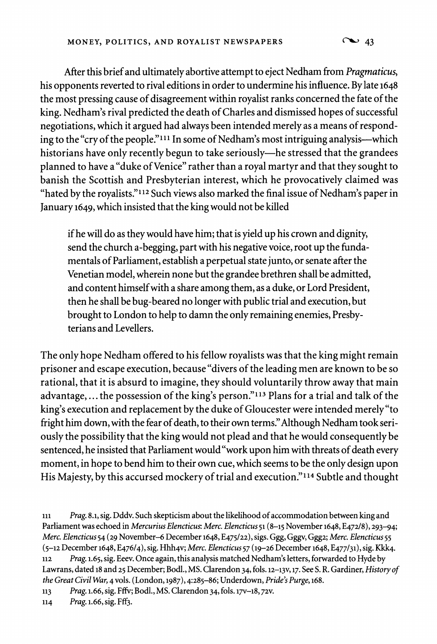**After this brief and ultimately abortive attempt to eject Nedham from Pragmaticus, his opponents reverted to rival editions in order to undermine his influence. By late 1648 the most pressing cause of disagreement within royalist ranks concerned the fate of the king. Nedham's rival predicted the death of Charles and dismissed hopes of successful negotiations, which it argued had always been intended merely as a means of responding to the "cry of the people."1l1 In some of Nedham's most intriguing analysis-which historians have only recently begun to take seriously-he stressed that the grandees planned to have a "duke of Venice" rather than a royal martyr and that they sought to banish the Scottish and Presbyterian interest, which he provocatively claimed was "hated by the royalists."112 Such views also marked the final issue of Nedham's paper in January 1649, which insisted that the king would not be killed** 

**if he will do as they would have him; that is yield up his crown and dignity, send the church a-begging, part with his negative voice, root up the fundamentals of Parliament, establish a perpetual state junto, or senate after the Venetian model, wherein none but the grandee brethren shall be admitted, and content himself with a share among them, as a duke, or Lord President, then he shall be bug-beared no longer with public trial and execution, but brought to London to help to damn the only remaining enemies, Presbyterians and Levellers.** 

**The only hope Nedham offered to his fellow royalists was that the king might remain prisoner and escape execution, because "divers of the leading men are known to be so rational, that it is absurd to imagine, they should voluntarily throw away that main advantage,... the possession of the king's person."13 Plans for a trial and talk of the king's execution and replacement by the duke of Gloucester were intended merely "to fright him down, with the fear of death, to their own terms." Although Nedham took seriously the possibility that the king would not plead and that he would consequently be sentenced, he insisted that Parliament would "work upon him with threats of death every moment, in hope to bend him to their own cue, which seems to be the only design upon His Majesty, by this accursed mockery of trial and execution." 14 Subtle and thought** 

**the Great Civil War, 4 vols. (London, 1987), 4:285-86; Underdown, Pride's Purge, 168.** 

**113 Prag. 1.66, sig. Fffv; Bodl., MS. Clarendon 34, fols. 17v-18, 72v.** 

**114 Prag. 1.66, sig. Fff3.** 

**<sup>111</sup> Prag. 8.1, sig. Dddv. Such skepticism about the likelihood of accommodation between king and Parliament was echoed in Mercurius Elencticus: Merc. Elencticus 51 (8-15 November 1648, E472/8), 293-94; Merc. Elencticus 54 (29 November-6 December 1648, E475/22), sigs. Ggg, Gggv, Ggg2; Merc. Elencticus55 (5-12 December 1648, E476/4), sig. Hhh4v; Merc. Elencticus57 (19-26 December 1648, E477/31), sig. Kkk4. 112 Prag. 1.65, sig. Eeev. Once again, this analysis matched Nedham's letters, forwarded to Hyde by Lawrans, dated 18 and 25 December; Bodl., MS. Clarendon 34, fols. 12-13v, 17. See S. R. Gardiner, History of**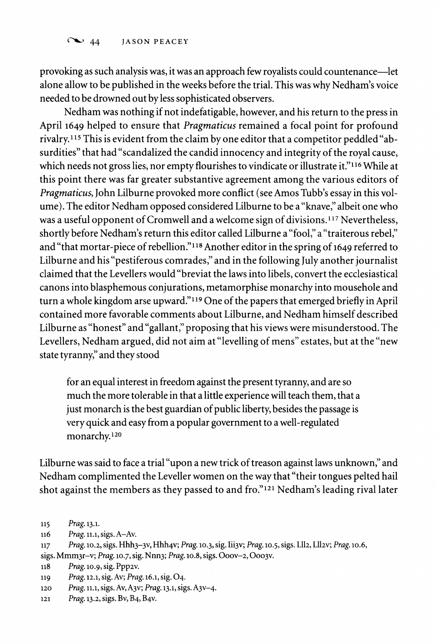**provoking as such analysis was, it was an approach few royalists could countenance-let alone allow to be published in the weeks before the trial. This was why Nedham's voice needed to be drowned out by less sophisticated observers.** 

**Nedham was nothing if not indefatigable, however, and his return to the press in April 1649 helped to ensure that Pragmaticus remained a focal point for profound rivalry."5 This is evident from the claim by one editor that a competitor peddled "absurdities" that had "scandalized the candid innocency and integrity of the royal cause, which needs not gross lies, nor empty flourishes to vindicate or illustrate it."116 While at this point there was far greater substantive agreement among the various editors of Pragmaticus, John Lilburne provoked more conflict (see Amos Tubb's essay in this volume). The editor Nedham opposed considered Lilburne to be a "knave," albeit one who was a useful opponent of Cromwell and a welcome sign of divisions.117 Nevertheless,**  shortly before Nedham's return this editor called Lilburne a "fool," a "traiterous rebel," **and "that mortar-piece of rebellion."118 Another editor in the spring of 1649 referred to Lilburne and his "pestiferous comrades," and in the following July another journalist claimed that the Levellers would "breviat the laws into libels, convert the ecclesiastical canons into blasphemous conjurations, metamorphise monarchy into mousehole and turn a whole kingdom arse upward.""19 One of the papers that emerged briefly in April contained more favorable comments about Lilburne, and Nedham himself described Lilburne as "honest" and "gallant," proposing that his views were misunderstood. The Levellers, Nedham argued, did not aim at "levelling of mens" estates, but at the "new state tyranny," and they stood** 

**for an equal interest in freedom against the present tyranny, and are so much the more tolerable in that a little experience will teach them, that a just monarch is the best guardian of public liberty, besides the passage is very quick and easy from a popular government to a well-regulated monarchy.120** 

**Lilburne was said to face a trial "upon a new trick of treason against laws unknown," and Nedham complimented the Leveller women on the way that "their tongues pelted hail shot against the members as they passed to and fro."'21 Nedham's leading rival later** 

- **sigs. Mmm3r-v; Prag. 10.7, sig. Nnn3; Prag. 10.8, sigs. Ooov-2, Ooo3v.**
- **118 Prag. lo.9, sig. Ppp2v.**
- **119 Prag. 12.1, sig. Av; Prag. 16.1, sig. 04.**
- **<sup>120</sup>Prag. 11.1, sigs. Av, A3v; Prag. 13.1, sigs. A3v-4.**
- **121 Prag. 13.2, sigs. Bv, B4, B4v.**

**<sup>115</sup> Prag. 13.1.** 

**n6 Prag. 11.1, sigs. A-Av.** 

**<sup>117</sup> Prag. 10.2, sigs. Hhh3-3v, Hhh4v; Prag. 10.3, sig. Iii3v; Prag. 10.5, sigs. L112, L112v; Prag. 10.6,**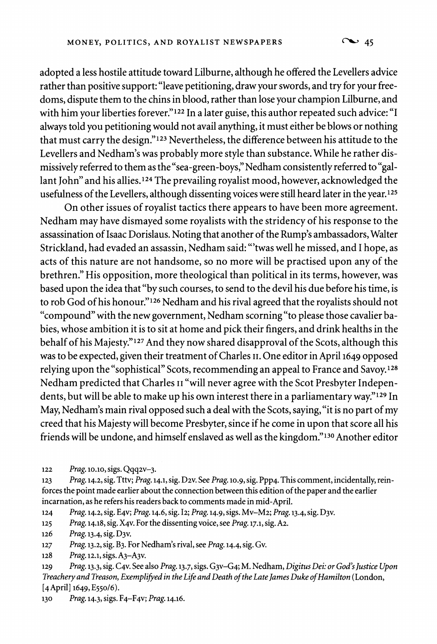**adopted a less hostile attitude toward Lilburne, although he offered the Levellers advice rather than positive support: "leave petitioning, draw your swords, and try for your freedoms, dispute them to the chins in blood, rather than lose your champion Lilburne, and with him your liberties forever."122 In a later guise, this author repeated such advice: "I always told you petitioning would not avail anything, it must either be blows or nothing that must carry the design."123 Nevertheless, the difference between his attitude to the Levellers and Nedham's was probably more style than substance. While he rather dismissively referred to them as the "sea-green-boys," Nedham consistently referred to "gallant John" and his allies.124 The prevailing royalist mood, however, acknowledged the usefulness of the Levellers, although dissenting voices were still heard later in the year.125** 

**On other issues of royalist tactics there appears to have been more agreement. Nedham may have dismayed some royalists with the stridency of his response to the assassination of Isaac Dorislaus. Noting that another of the Rump's ambassadors, Walter Strickland, had evaded an assassin, Nedham said: "'twas well he missed, and I hope, as acts of this nature are not handsome, so no more will be practised upon any of the brethren." His opposition, more theological than political in its terms, however, was based upon the idea that "by such courses, to send to the devil his due before his time, is to rob God of his honour."126 Nedham and his rival agreed that the royalists should not "compound" with the new government, Nedham scorning "to please those cavalier babies, whose ambition it is to sit at home and pick their fingers, and drink healths in the behalf of his Majesty."127 And they now shared disapproval of the Scots, although this was to be expected, given their treatment of Charles II. One editor in April 1649 opposed relying upon the "sophistical" Scots, recommending an appeal to France and Savoy.128 Nedham predicted that Charles II "will never agree with the Scot Presbyter Independents, but will be able to make up his own interest there in a parliamentary way."129 In May, Nedham's main rival opposed such a deal with the Scots, saying, "it is no part of my creed that his Majesty will become Presbyter, since if he come in upon that score all his friends will be undone, and himself enslaved as well as the kingdom."130 Another editor** 

**122 Prag. 1o.lo, sigs. Qqq2v-3.** 

**123 Prag. 14.2, sig. Tttv; Prag. 14.1, sig. D2v. See Prag. 10.9, sig. Ppp4. This comment, incidentally, reinforces the point made earlier about the connection between this edition of the paper and the earlier incarnation, as he refers his readers back to comments made in mid-April.** 

**124 Prag. 14.2, sig. E4v; Prag. 14.6, sig. I2; Prag. 14.9, sigs. Mv-M2; Prag. 13.4, sig. D3v.** 

**<sup>125</sup>Prag. 14.18, sig. X4v. For the dissenting voice, see Prag. 17.1, sig. A2.** 

**126 Prag. 13.4, sig. D3v.** 

**127 Prag. 13.2, sig. B3. For Nedham's rival, see Prag. 14.4, sig. Gv.** 

**128 Prag. 12.1, sigs. A3-A3v.** 

**129 Prag. 13.3, sig. C4v. See also Prag. 13.7, sigs. G3v-G4; M. Nedham, Digitus Dei: or God's Justice Upon Treachery and Treason, Exemplifyed in the Life and Death of the Late James Duke of Hamilton (London, [4April] 1649, E55o/6).** 

**130 Prag. 14.3, sigs. F4-F4v; Prag. 14.16.**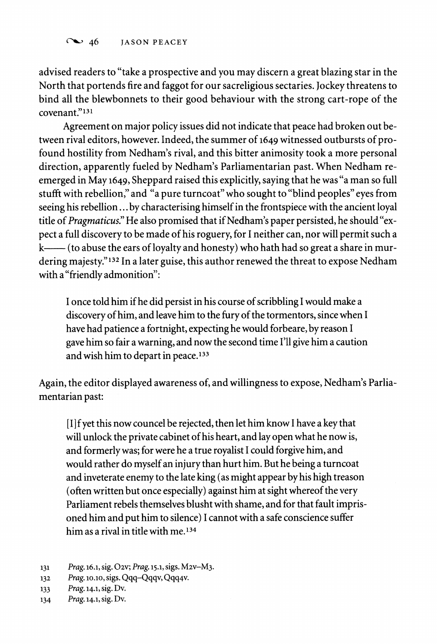**advised readers to "take a prospective and you may discern a great blazing star in the North that portends fire and faggot for our sacreligious sectaries. Jockey threatens to bind all the blewbonnets to their good behaviour with the strong cart-rope of the covenant."131** 

**Agreement on major policy issues did not indicate that peace had broken out between rival editors, however. Indeed, the summer of 1649 witnessed outbursts of profound hostility from Nedham's rival, and this bitter animosity took a more personal direction, apparently fueled by Nedham's Parliamentarian past. When Nedham reemerged in May 1649, Sheppard raised this explicitly, saying that he was "a man so full stufft with rebellion," and "a pure turncoat" who sought to "blind peoples" eyes from seeing his rebellion... by characterising himself in the frontspiece with the ancient loyal title of Pragmaticus." He also promised that if Nedham's paper persisted, he should "expect a full discovery to be made of his roguery, for I neither can, nor will permit such a**  k— (to abuse the ears of loyalty and honesty) who hath had so great a share in mur**dering majesty."132 In a later guise, this author renewed the threat to expose Nedham with a "friendly admonition":** 

**I once told him if he did persist in his course of scribbling I would make a discovery of him, and leave him to the fury of the tormentors, since when I have had patience a fortnight, expecting he would forbeare, by reason I gave him so fair a warning, and now the second time I'll give him a caution and wish him to depart in peace.133** 

**Again, the editor displayed awareness of, and willingness to expose, Nedham's Parliamentarian past:** 

**[I] fyet this now councel be rejected, then let him know I have a key that will unlock the private cabinet of his heart, and lay open what he now is, and formerly was; for were he a true royalist I could forgive him, and would rather do myself an injury than hurt him. But he being a turncoat and inveterate enemy to the late king (as might appear by his high treason (often written but once especially) against him at sight whereof the very Parliament rebels themselves blusht with shame, and for that fault imprisoned him and put him to silence) I cannot with a safe conscience suffer him as a rival in title with me.134** 

**<sup>131</sup> Prag. 16.1, sig. 02v; Prag. 15.1, sigs. M2v-M3.** 

**<sup>132</sup> Prag. lo.1o, sigs. Qqq-Qqqv, Qqq4v.** 

**<sup>133</sup> Prag. 14.1, sig. Dv.** 

**<sup>134</sup> Prag. 14.1, sig. Dv.**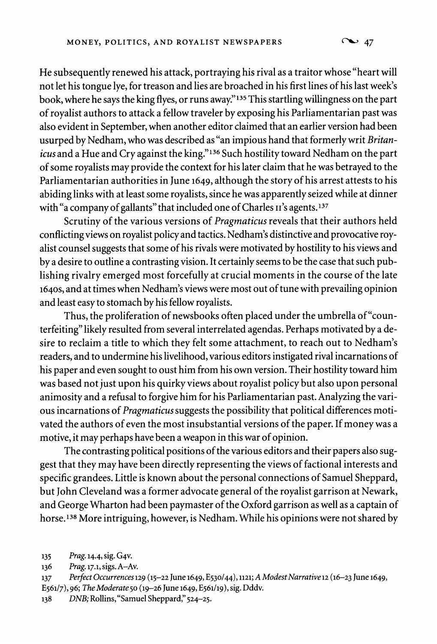**He subsequently renewed his attack, portraying his rival as a traitor whose "heart will not let his tongue lye, for treason and lies are broached in his first lines of his last week's book, where he says the king flyes, or runs away."'35 This startling willingness on the part of royalist authors to attack a fellow traveler by exposing his Parliamentarian past was also evident in September, when another editor claimed that an earlier version had been usurped by Nedham, who was described as "an impious hand that formerly writ Britanicus and a Hue and Cry against the king."'36 Such hostility toward Nedham on the part of some royalists may provide the context for his later claim that he was betrayed to the Parliamentarian authorities in June 1649, although the story of his arrest attests to his abiding links with at least some royalists, since he was apparently seized while at dinner with "a company of gallants" that included one of Charles II's agents.137** 

**Scrutiny of the various versions of Pragmaticus reveals that their authors held conflicting views on royalist policy and tactics. Nedham's distinctive and provocative royalist counsel suggests that some of his rivals were motivated by hostility to his views and by a desire to outline a contrasting vision. It certainly seems to be the case that such publishing rivalry emerged most forcefully at crucial moments in the course of the late 164os, and at times when Nedham's views were most out of tune with prevailing opinion and least easy to stomach by his fellow royalists.** 

**Thus, the proliferation of newsbooks often placed under the umbrella of"counterfeiting" likely resulted from several interrelated agendas. Perhaps motivated by a desire to reclaim a title to which they felt some attachment, to reach out to Nedham's readers, and to undermine his livelihood, various editors instigated rival incarnations of his paper and even sought to oust him from his own version. Their hostility toward him was based not just upon his quirky views about royalist policy but also upon personal animosity and a refusal to forgive him for his Parliamentarian past. Analyzing the various incarnations of Pragmaticus suggests the possibility that political differences motivated the authors of even the most insubstantial versions of the paper. If money was a motive, it may perhaps have been a weapon in this war of opinion.** 

**The contrasting political positions of the various editors and their papers also suggest that they may have been directly representing the views of factional interests and specific grandees. Little is known about the personal connections of Samuel Sheppard, but John Cleveland was a former advocate general of the royalist garrison at Newark, and George Wharton had been paymaster of the Oxford garrison as well as a captain of horse.138 More intriguing, however, is Nedham. While his opinions were not shared by** 

**<sup>135</sup> Prag. 14.4, sig. G4v.** 

**<sup>136</sup> Prag. 17.1, sigs. A-Av.** 

**<sup>137</sup> Perfect Occurrences 129 (15-22 June 1649, E530/44), 1121; A ModestNarrative12 (16-23 June 1649,** 

**E561/7), 96; The Moderate 50 (19-26 June 1649, E561/19), sig. Dddv.** 

**<sup>138</sup> DNB; Rollins, "Samuel Sheppard," 524-25.**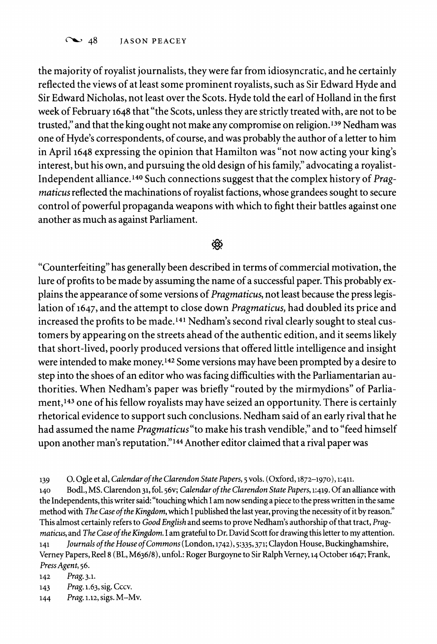Co 48 **JASON PEACEY** 

**the majority of royalist journalists, they were far from idiosyncratic, and he certainly reflected the views of at least some prominent royalists, such as Sir Edward Hyde and Sir Edward Nicholas, not least over the Scots. Hyde told the earl of Holland in the first week of February 1648 that "the Scots, unless they are strictly treated with, are not to be trusted," and that the king ought not make any compromise on religion.139 Nedham was one of Hyde's correspondents, of course, and was probably the author of a letter to him in April 1648 expressing the opinion that Hamilton was "not now acting your king's interest, but his own, and pursuing the old design of his family," advocating a royalist-Independent alliance.140 Such connections suggest that the complex history of Pragmaticus reflected the machinations of royalist factions, whose grandees sought to secure control of powerful propaganda weapons with which to fight their battles against one another as much as against Parliament.** 

# </del>

**"Counterfeiting" has generally been described in terms of commercial motivation, the lure of profits to be made by assuming the name of a successful paper. This probably explains the appearance of some versions of Pragmaticus, not least because the press legislation of 1647, and the attempt to close down Pragmaticus, had doubled its price and increased the profits to be made.141 Nedham's second rival clearly sought to steal customers by appearing on the streets ahead of the authentic edition, and it seems likely that short-lived, poorly produced versions that offered little intelligence and insight were intended to make money.142 Some versions may have been prompted by a desire to step into the shoes of an editor who was facing difficulties with the Parliamentarian authorities. When Nedham's paper was briefly "routed by the mirmydions" of Parliament,143 one of his fellow royalists may have seized an opportunity. There is certainly rhetorical evidence to support such conclusions. Nedham said of an early rival that he had assumed the name Pragmaticus"to make his trash vendible," and to "feed himself upon another man's reputation."144 Another editor claimed that a rival paper was** 

**<sup>140</sup>Bodl., MS. Clarendon 31, fol. 56v; Calendar of the Clarendon State Papers, 1:419. Of an alliance with the Independents, this writer said: "touching which I am now sending a piece to the press written in the same method with The Case of the Kingdom, which I published the last year, proving the necessity of it by reason." This almost certainly refers to Good English and seems to prove Nedham's authorship of that tract, Pragmaticus, and The Case of the Kingdom. I am grateful to Dr. David Scott for drawing this letter to my attention. 141 Journals of the House of Commons (London, 1742), 5:335,371; Claydon House, Buckinghamshire,** 

**Verney Papers, Reel 8 (BL, M636/8), unfol.: Roger Burgoyne to Sir Ralph Verney, 14 October 1647; Frank, Press Agent, 56.** 

**142 Prag. 3.1.** 

- **143 Prag. 1.63, sig. Cccv.**
- **144 Prag. 1.12, sigs. M-Mv.**

**<sup>139</sup> O. Ogle et al, Calendar of the Clarendon State Papers, 5 vols. (Oxford, 1872-1970), 1:411.**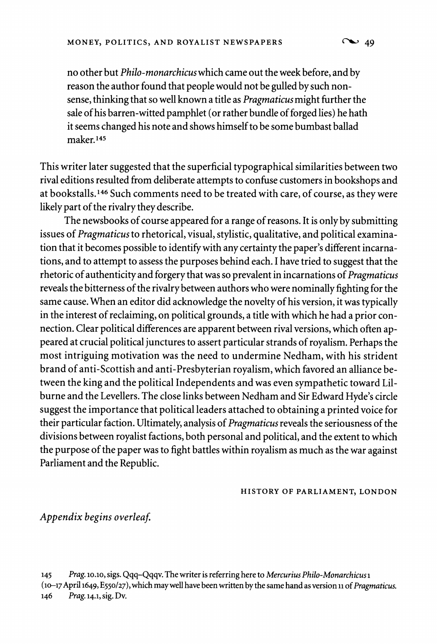**no other but Philo-monarchicus which came out the week before, and by reason the author found that people would not be gulled by such nonsense, thinking that so well known a title as Pragmaticus might further the sale of his barren-witted pamphlet (or rather bundle of forged lies) he hath it seems changed his note and shows himself to be some bumbast ballad maker.145** 

**This writer later suggested that the superficial typographical similarities between two rival editions resulted from deliberate attempts to confuse customers in bookshops and at bookstalls.146 Such comments need to be treated with care, of course, as they were likely part of the rivalry they describe.** 

**The newsbooks of course appeared for a range of reasons. It is only by submitting issues of Pragmaticus to rhetorical, visual, stylistic, qualitative, and political examination that it becomes possible to identify with any certainty the paper's different incarnations, and to attempt to assess the purposes behind each. I have tried to suggest that the rhetoric of authenticity and forgery that was so prevalent in incarnations of Pragmaticus reveals the bitterness of the rivalry between authors who were nominally fighting for the same cause. When an editor did acknowledge the novelty of his version, it was typically in the interest of reclaiming, on political grounds, a title with which he had a prior connection. Clear political differences are apparent between rival versions, which often appeared at crucial political junctures to assert particular strands of royalism. Perhaps the most intriguing motivation was the need to undermine Nedham, with his strident brand of anti-Scottish and anti-Presbyterian royalism, which favored an alliance between the king and the political Independents and was even sympathetic toward Lilburne and the Levellers. The close links between Nedham and Sir Edward Hyde's circle suggest the importance that political leaders attached to obtaining a printed voice for their particular faction. Ultimately, analysis of Pragmaticus reveals the seriousness of the divisions between royalist factions, both personal and political, and the extent to which the purpose of the paper was to fight battles within royalism as much as the war against Parliament and the Republic.** 

**HISTORY OF PARLIAMENT, LONDON** 

**Appendix begins overleaf.** 

**145 Prag. lo.lo, sigs. Qqq-Qqqv. The writer is referring here to Mercurius Philo-Monarchicus 1 (10-17 April 1649, E550/27), which may well have been written by the same hand as version 11 of Pragmaticus. 146 Prag. 14.1, sig. Dv.**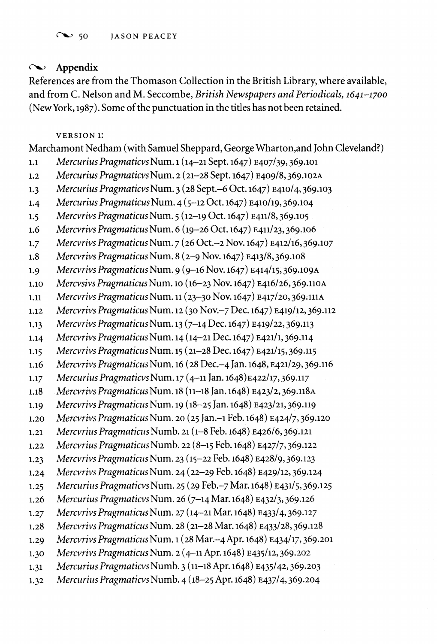# **C** Appendix

**References are from the Thomason Collection in the British Library, where available, and from C. Nelson and M. Seccombe, British Newspapers and Periodicals, 1641-1700 (New York, 1987). Some of the punctuation in the titles has not been retained.** 

**VERSION 1:** 

**Marchamont Nedham (with Samuel Sheppard, George Wharton,and John Cleveland?) 1.1 Mercurius Pragmaticvs Num. 1 (14-21 Sept. 1647) E407/39,369.101 1.2 Mercurius Pragmaticvs Num. 2 (21-28 Sept. 1647) E409/8,369.102A 1.3 Mercurius Pragmaticvs Num. 3 (28 Sept.-6 Oct. 1647) E410/4,369.103 1.4 Mercurius Pragmaticus Num. 4 (5-12 Oct. 1647) E410/19, 369.104 1.5 Mercvrivs Pragmaticus Num. 5 (12-19 Oct. 1647) E411/8,369.105 1.6 Mercvrivs Pragmaticus Num. 6 (19-26 Oct. 1647) E411/23,369.106 1.7 Mercvrivs Pragmaticus Num. 7 (26 Oct.-2 Nov. 1647) E412/16,369.107 1.8 Mercvrivs Pragmaticus Num. 8 (2-9 Nov. 1647) E413/8,369.108 1.9 Mercvrivs Pragmaticus Num. 9 (9-16 Nov. 1647) E414/15, 369.109A 1.10 Mercvsivs Pragmaticus Num. 10 (16-23 Nov. 1647) E416/26,369.110A 1.11 Mercvrivs PragmaticusNum. 11 (23-30 Nov. 1647) E417/20,369.1I1A 1.12 Mercvrivs Pragmaticus Num. 12 (30 Nov.-7 Dec. 1647) E419/12,369.112 1.13 Mercvrivs Pragmaticus Num. 13 (7-14 Dec. 1647) E419/22, 369.113 1.14 Mercvrivs Pragmaticus Num. 14 (14-21 Dec. 1647) E421/1,369.114 1.15 Mercvrivs Pragmaticus Num. 15 (21-28 Dec. 1647) E421/15,369.115 1.16 Mercvrivs PragmaticusNum. 16 (28 Dec.-4 Jan. 1648, E421/29,369.116 1.17 Mercurius Pragmaticvs Num. 17 (4-11 Jan. 1648)E422/17,369.117 1.18 Mercvrivs Pragmaticus Num. 18 (11-18 Jan. 1648) E423/2, 369.118A 1.19 Mercvrivs Pragmaticus Num. 19 (18-25 Jan. 1648) E423/21, 369.119 1.20 Mercvrivs Pragmaticus Num. 20 (25 Jan.-i Feb. 1648) E424/7, 369.120 1.21 Mercvrius Pragmaticus Numb. 21 (1-8 Feb. 1648) E426/6,369.121 1.22 Mercvrius Pragmaticus Numb. 22 (8-15 Feb. 1648) E427/7, 369.122 1.23 Mercvrivs Pragmaticus Num. 23 (15-22 Feb. 1648) E428/9,369.123 1.24 Mercvrivs PragmaticusNum. 24 (22-29 Feb. 1648) E429/12, 369.124 1.25 Mercurius Pragmaticvs Num. 25 (29 Feb.-7 Mar. 1648) E431/5,369.125 1.26 Mercurius Pragmaticvs Num. 26 (7-14 Mar. 1648) E432/3,369.126 1.27 Mercvrivs Pragmaticus Num. 27 (14-21 Mar. 1648) E433/4, 369.127 1.28 Mercvrivs Pragmaticus Num. 28 (21-28 Mar. 1648) E433/28,369.128 1.29 Mercvrivs Pragmaticus Num. 1 (28 Mar.-4 Apr. 1648) E434/17, 369.201 1.30 Mercvrivs Pragmaticus Num. 2 (4-11 Apr. 1648) E435/12,369.202 1.31 Mercurius Pragmaticvs Numb. 3 (11-18 Apr. 1648) E435/42, 369.203 1.32 Mercurius Pragmaticvs Numb. 4 (18-25 Apr. 1648) E437/4,369.204**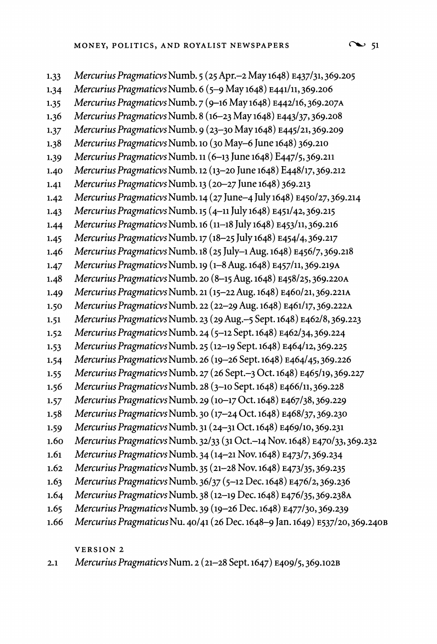**1.33 Mercurius Pragmaticvs Numb. 5 (25 Apr.-2 May 1648) E437/31, 369.205 1.34 Mercurius Pragmaticvs Numb. 6 (5-9 May 1648) E441/11, 369.206 1.35 Mercurius Pragmaticvs Numb. 7 (9-16 May 1648) E442/16,369.207A 1.36 Mercurius Pragmaticvs Numb. 8 (16-23 May 1648) E443/37,369.208 1.37 Mercurius Pragmaticvs Numb. 9 (23-30 May 1648) E445/21, 369.209 1.38 Mercurius Pragmaticvs Numb. <sup>10</sup>(30 May-6 June 1648) 369.210 1.39 Mercurius Pragmaticvs Numb. 11 (6-13 June 1648) E447/5,369.211 1.40 Mercurius Pragmaticvs Numb. 12 (13-20 June 1648) E448/17, 369.212 1.41 Mercurius Pragmaticvs Numb. 13 (20-27 June 1648) 369.213 1.42 Mercurius Pragmaticvs Numb. 14 (27 June-4 July 1648) E450/27,369.214 1.43 Mercurius Pragmaticvs Numb. 15 (4-11 July 1648) E451/42,369.215 1.44 Mercurius Pragmaticvs Numb. 16 (11-18 July 1648) E453/11, 369.216 1.45 Mercurius Pragmaticvs Numb. 17 (18-25 July 1648) E454/4, 369.217 1.46 Mercurius Pragmaticvs Numb. 18 (25 July-1Aug. 1648) E456/7,369.218 1.47 Mercurius Pragmaticvs Numb. 19 (1-8 Aug. 1648) E457/11, 369.219A 1.48 Mercurius Pragmaticvs Numb. 20 (8-15 Aug. 1648) E458/25,369.220A 1.49 Mercurius Pragmaticvs Numb. 21 (15-22 Aug. 1648) E460/21,369.221A 1.50 Mercurius Pragmaticvs Numb. 22 (22-29 Aug. 1648) E461/17, 369.222A 1.51 Mercurius Pragmaticvs Numb. 23 (29 Aug.-5 Sept. 1648) E462/8,369.223 1.52 Mercurius Pragmaticvs Numb. 24 (5-12 Sept. 1648) E462/34, 369.224 1.53 Mercurius Pragmaticvs Numb. 25 (12-19 Sept. 1648) E464/12, 369.225 1.54 Mercurius Pragmaticvs Numb. 26 (19-26 Sept. 1648) E464/45,369.226 1.55 Mercurius Pragmaticvs Numb. 27 (26 Sept.-3 Oct. 1648) E465/19,369.227 1.56 Mercurius Pragmaticvs Numb. 28 (3-10 Sept. 1648) E466/11, 369.228 1.57 Mercurius Pragmaticvs Numb. 29 (10-17 Oct. 1648) E467/38,369.229 1.58 Mercurius Pragmaticvs Numb. 30 (17-24 Oct. 1648) E468/37,369.230 1.59 Mercurius Pragmaticvs Numb. 31 (24-31 Oct. 1648) E469/10, 369.231 1.60 Mercurius Pragmaticvs Numb. 32/33 (31 Oct.-14 Nov. 1648) E470/33,369.232 1.61 Mercurius Pragmaticvs Numb. 34 (14-21 Nov. 1648) E473/7, 369.234 1.62 Mercurius Pragmaticvs Numb. 35 (21-28 Nov. 1648) E473/35,369.235 1.63 Mercurius Pragmaticvs Numb. 36/37 (5-12 Dec. 1648) E476/2, 369.236 1.64 Mercurius Pragmaticvs Numb. 38 (12-19 Dec. 1648) E476/35,369.238A 1.65 Mercurius Pragmaticvs Numb. 39 (19-26 Dec. 1648) E477/30,369.239 1.66 Mercurius Pragmaticus Nu. 40/41 (26 Dec. 1648-9 Jan. 1649) E537/20, 369.240B** 

**VERSION 2** 

**2.1 Mercurius Pragmaticvs Num. 2 (21-28 Sept. 1647) E409/5,369.102B**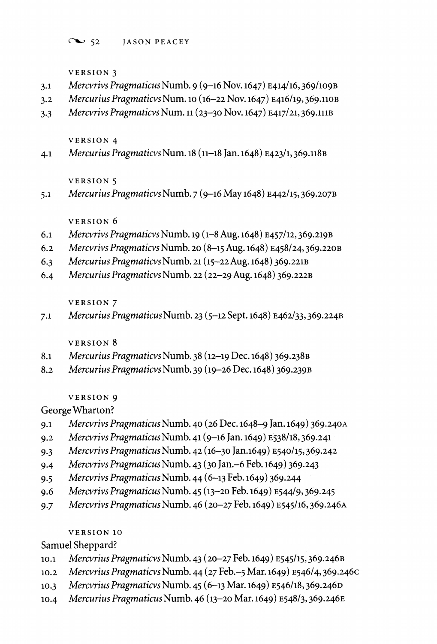**C'%- 52 JASON PEACEY** 

**VERSION 3** 

**VERSION 5** 

**VERSION 6** 

**VERSION 7** 

**VERSION 8** 

**VERSION 9 George Wharton?** 

**VERSION 10** 

**Samuel Sheppard?** 

- **3.1 Mercvrivs Pragmaticus Numb. 9 (9-i6 Nov. 1647) E414/16, 369/109B**
- 
- 
- 
- 
- 
- **3.2 Mercurius Pragmaticvs Num. 10 (16-22 Nov. 1647) E416/19, 369.110B**
- 
- 
- 
- 
- 
- 
- 
- 
- 
- 
- 
- 
- 
- 
- 
- 
- **3.3 Mercvrivs Pragmaticvs Num. 11 (23-30 Nov. 1647) E417/21, 369.111B**
- 

**4.1 Mercurius Pragmaticvs Num. 18 (11-18 Jan. 1648) E423/1, 369.118B** 

**5.1 Mercurius Pragmaticvs Numb. 7 (9-16 May 1648) E442/15, 369.207B** 

**6.1 Mercvrivs Pragmaticvs Numb. 19 (i-8 Aug. 1648) E457/12, 369.219B 6.2 Mercvrivs Pragmaticvs Numb. <sup>20</sup>(8-15 Aug. 1648) E458/24, 369.220B** 

**7.1 Mercurius Pragmaticus Numb. 23 (5-12 Sept. 1648) E462/33, 369.224B** 

**9.1 Mercvrivs Pragmaticus Numb. 40 (26 Dec. 1648-9 Jan. 1649) 369.240A 9.2 Mercvrivs Pragmaticus Numb. 41 (9-16 Jan. 1649) E538118, 369.241 9.3 Mercvrivs Pragmaticus Numb. 42(16-30 jan.1649) E540/15, 369.242 9.4 Mercvrivs Pragmaticus Numb. 43 (30 Jan.-6 Feb. 1649) 369.243 9.5 Mercvrivs Pragmaticus Numb. 44 (6-13 Feb. 1649) 369.244** 

**9.6 Mercvrivs Pragmaticus Numb. 45 (13-20 Feb. 1649) E544/9, 369.245 9.7 Mercvrivs Pragmaticus Numb. 46 (20-27 Feb. 1649) E545/16, 369.246A** 

**10.1 Mercvrius Pragmaticvs Numb. 43 (20-27 Feb. 1649) E545/15, 369.246B 10.2 Mercvrius Pragmaticvs Numb. 44 (27 Feb.-5 Mar. 1649) E546/4, 369.246c 10.3 Mercvrius Pragmaticvs Numb. 45 (6-13 Mar. 1649) E546/18, 369.246D 10.4 Mercurius Pragmaticus Numb. 46 (13-20 Mar. 1649) E54813, 369.246E** 

**6.3 Mercurius Pragmaticvs Numb. 21 (15-22 Aug. 1648) 369.221B 6.4 Mercurius Pragmaticvs Numb. 22 (22-29 Aug. 1648) 369.222B** 

**8.1 Mercurius Pragmaticvs Numb. 38 (12-19 Dec. 1648) 369.238B 8.2 Mercurius Pragmaticvs Numb. 39 (19-26 Dec. 1648) 369.239B** 

- 
- 
- 
- 
- **VERSION 4**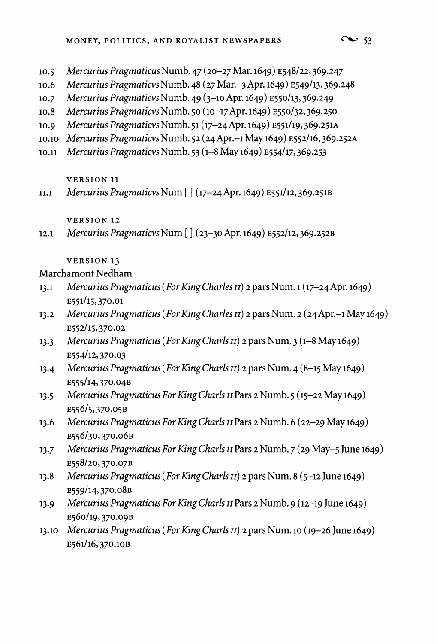- **10.5 Mercurius Pragmaticus Numb. 47 (20-27 Mar. 1649) E548/22, 369.247**
- **10.6 Mercurius Pragmaticvs Numb. 48 (27 Mar.-3 Apr. 1649) E549/13,369.248**
- **10.7 Mercurius Pragmaticvs Numb. 49 (3-1o Apr. 1649) E550/13,369.249**
- **10.8 Mercurius Pragmaticvs Numb. 50 (10-17 Apr. 1649) E550/32,369.250**
- **10.9 Mercurius Pragmaticvs Numb. 51 (17-24 Apr. 1649) E551/19,369.251A**
- **10.10 Mercurius Pragmaticvs Numb. 52 (24 Apr.-i May 1649) E552/16,369.252A**
- **10.11 Mercurius Pragmaticvs Numb. 53 (1-8 May 1649) E554/17, 369.253**

### **VERSION 11**

**11.1 Mercurius Pragmaticvs Num [ ] (17-24 Apr. 1649) E551/12,369.251B** 

**VERSION 12** 

**12.1 Mercurius Pragmaticvs Num [ ] (23-30 Apr. 1649) E552/12, 369.252B** 

# **VERSION 13**

# **Marchamont Nedham**

- **13.1 MercuriusPragmaticus (For King Charles II) 2 pars Num. 1 (17-24Apr. 1649) E551/15,370.01**
- **13.2 Mercurius Pragmaticus (For King Charles II) 2 pars Num. 2 (24 Apr.-i May 1649) E552/15,370.02**
- **13.3 Mercurius Pragmaticus (ForKing Charls II) 2 pars Num. 3 (1-8 May 1649) E554/12,370.03**
- **13.4 Mercurius Pragmaticus (For King Charls II) 2 pars Num. 4 (8-15 May 1649) E555/14,370.04B**
- **13.5 Mercurius Pragmaticus For King Charls II Pars 2 Numb. 5 (15-22 May 1649) E556/5,370.05B**
- **13.6 Mercurius Pragmaticus For King Charls II Pars 2 Numb. 6 (22-29 May 1649) E556/30,370.06B**
- 13.7 Mercurius Pragmaticus For King Charls II Pars 2 Numb. 7 (29 May-5 June 1649) **E558/20,370.07B**
- **13.8 Mercurius Pragmaticus (For King Charls II) 2 pars Num. 8 (5-12 June 1649) E559/14,370.08B**
- **13.9 Mercurius Pragmaticus For King Charls ii Pars 2 Numb. 9 (12-19 June 1649) E560/19,370.09B**
- **13.10 Mercurius Pragmaticus (For King Charls II) 2 pars Num. 10 (19-26 June 1649) E561/16,370.1OB**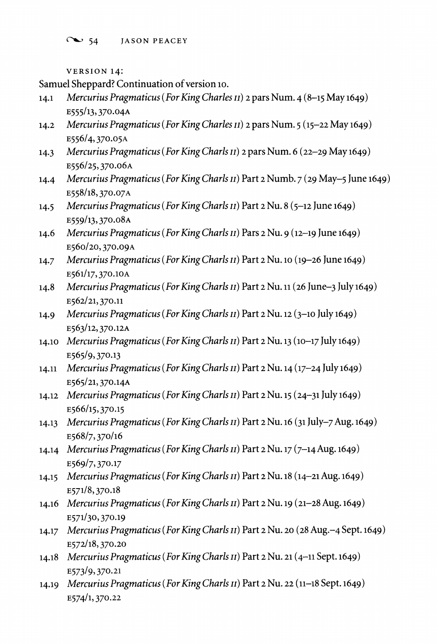$\sim$  54 JASON PEACEY

**VERSION 14:** 

**Samuel Sheppard? Continuation of version 1o.** 

- **14.1 Mercurius Pragmaticus (For King Charles I) 2 pars Num. 4 (8-15 May 1649) E55/13, 370.04A**
- **14.2 Mercurius Pragmaticus (For King Charles 11) 2 pars Num. 5 (15-22 May 1649) E556/4, 370.05A**
- **14.3 Mercurius Pragmaticus (For King Charls II) 2 pars Num. 6 (22-29 May 1649) E556/25,370.o6A**
- **14.4 Mercurius Pragmaticus (For King Charls II) Part 2 Numb. 7 (29 May-5 June 1649) E558/18,370.07A**
- **14.5 MercuriusPragmaticus (ForKing Charls I) Part 2 Nu. 8 (5-12 June 1649) E559/13,370.O8A**
- **14.6 Mercurius Pragmaticus (For King Charls II) Pars 2 Nu. 9 (12-19 June 1649) E560/20,370.09A**
- **14.7 Mercurius Pragmaticus (For King Charls II) Part 2 Nu. lo (19-26 June 1649) E561/17,370.1OA**
- **14.8 Mercurius Pragmaticus (For King Charls 1) Part 2 Nu. 11 (26 June-3 July 1649) E562/21, 370.11**
- **14.9 Mercurius Pragmaticus (For King Charls II) Part 2 Nu. 12 (3-10 July 1649) E563/12,370.12A**
- **14.10 Mercurius Pragmaticus (For King Charls II) Part 2 Nu. 13 (10-17 July 1649) E565/9,370.13**
- **14.11 Mercurius Pragmaticus (For King Charls 11) Part 2 Nu. 14 (17-24 July 1649) E565/21,370.14A**
- **14.12 Mercurius Pragmaticus (For King Charls i) Part 2 Nu. 15 (24-31 July 1649) E566/15,370.15**
- **14.13 Mercurius Pragmaticus (For King Charls II) Part 2 Nu. 16 (31 July-7 Aug. 1649) E568/7,370/16**
- **14.14 Mercurius Pragmaticus (For King Charls II) Part 2 Nu. 17 (7-14 Aug. 1649) E569/7,370.17**
- **14.15 Mercurius Pragmaticus (For King Charls II) Part 2 Nu. 18 (14-21 Aug. 1649) E571/8,370.18**
- **14.16 Mercurius Pragmaticus (ForKing Charls I) Part 2 Nu. 19 (21-28 Aug. 1649) E571/30, 370.19**
- **14.17 Mercurius Pragmaticus (ForKing Charls II) Part 2 Nu. 20 (28 Aug.-4 Sept. 1649) E572/18,370.20**
- **14.18 Mercurius Pragmaticus (For King Charls ii) Part 2 Nu. 21 (4-11 Sept. 1649) E573/9,370.21**
- **14.19 Mercurius Pragmaticus (For King Charls II) Part 2 Nu. 22 (11-18 Sept. 1649) E574/1, 370.22**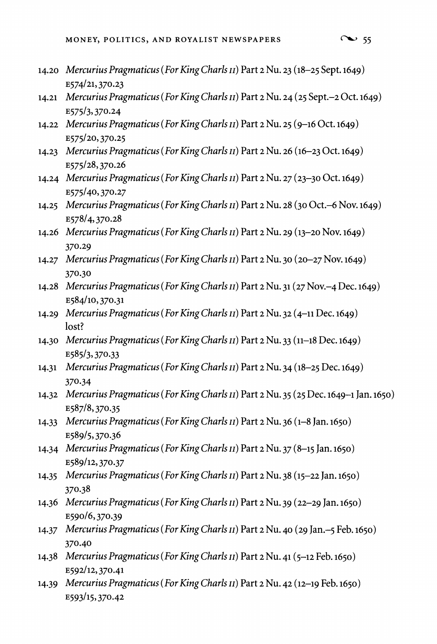- $\sim$  55
- **14.20 Mercurius Pragmaticus (ForKingCharls I) Part 2 Nu. 23 (18-25 Sept. 1649) E574/21,370.23**
- **14.21 Mercurius Pragmaticus (For King Charls II) Part 2 Nu. 24 (25 Sept.-2 Oct. 1649) E575/3,370.24**
- **14.22 Mercurius Pragmaticus (For King Charls II) Part 2 Nu. 25 (9-16 Oct. 1649) E575/20,370.25**
- **14.23 Mercurius Pragmaticus (For King Charls ii) Part 2 Nu. 26 (16-23 Oct. 1649) E575/28,370.26**
- **14.24 Mercurius Pragmaticus (For King Charls II) Part 2 Nu. 27 (23-30 Oct. 1649) E575/40,370.27**
- **14.25 Mercurius Pragmaticus (For King Charls ii) Part 2 Nu. 28 (30 Oct.-6 Nov. 1649) E578/4,370.28**
- **14.26 Mercurius Pragmaticus (For King Charls ii) Part 2 Nu. 29 (13-20 Nov. 1649) 370.29**
- **14.27 Mercurius Pragmaticus (For King Charls II) Part 2 Nu. 30 (20-27 Nov. 1649) 370.30**
- **14.28 Mercurius Pragmaticus (For King Charls II) Part 2 Nu. 31 (27 Nov.-4 Dec. 1649) E584/10,370.31**
- **14.29 Mercurius Pragmaticus (ForKing Charls ii) Part 2 Nu. 32 (4-11 Dec. 1649) lost?**
- **14.30 Mercurius Pragmaticus (For King Charls II) Part 2 Nu. 33 (11-18 Dec. 1649) E585/3,370.33**
- **14.31 Mercurius Pragmaticus (For King Charls II) Part 2 Nu. 34 (18-25 Dec. 1649) 370.34**
- **14.32 Mercurius Pragmaticus (For King Charls ii) Part 2 Nu. 35 (25 Dec. 1649-1 Jan. 1650) E587/8,370.35**
- **14.33 Mercurius Pragmaticus (For King Charls ii) Part 2 Nu. 36 (1-8 Jan. 1650) E589/5,370.36**
- **14.34 Mercurius Pragmaticus (For King Charls ii) Part 2 Nu. 37 (8-15 Jan. 1650) E589/12,370.37**
- **14.35 Mercurius Pragmaticus (For King Charls II) Part 2 Nu. 38 (15-22 Jan. 1650) 370.38**
- **14.36 Mercurius Pragmaticus (For King Charls II) Part 2 Nu. 39 (22-29 Jan. 1650) E590/6,370.39**
- **14.37 Mercurius Pragmaticus (For King Charls II) Part 2 Nu. 40 (29 Jan.-5 Feb. 1650) 370.40**
- **14.38 Mercurius Pragmaticus (For King Charls II) Part 2 Nu. 41 (5-12 Feb. 1650) E592/12,370.41**
- **14.39 Mercurius Pragmaticus (For King Charls II) Part 2 Nu. 42 (12-19 Feb. 1650) E593/15,370.42**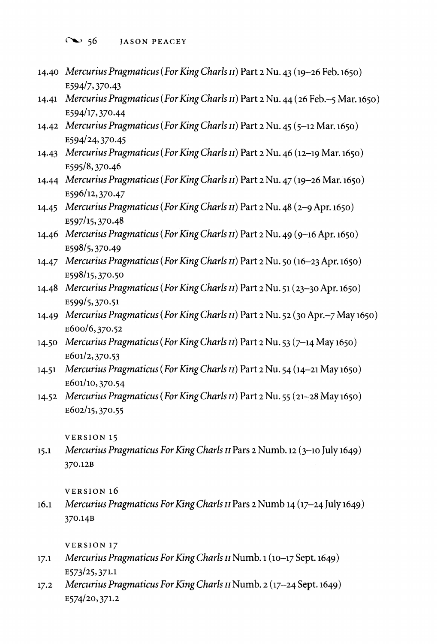**- 56 JASON PEACEY** 

- **14.40 Mercurius Pragmaticus (For King Charls II) Part 2 Nu. 43 (19-26 Feb. 1650) E594/7, 370.43**
- **14.41 Mercurius Pragmaticus (For King Charls ii) Part 2 Nu. 44 (26 Feb.-5 Mar. 1650) E594/17,370.44**
- **14.42 Mercurius Pragmaticus (For King Charls ii) Part 2 Nu. 45 (5-12 Mar. 1650) E594/24,370.45**
- **14.43 Mercurius Pragmaticus (For KingCharls iI) Part 2 Nu. 46 (12-19 Mar. 1650) E595/8,370.46**
- **14.44 Mercurius Pragmaticus (For King Charls n) Part 2 Nu. 47 (19-26 Mar. 1650) E596/12,370.47**
- **14.45 Mercurius Pragmaticus (For King Charls II) Part 2 Nu. 48 (2-9 Apr. 1650) E597/15,370.48**
- **14.46 Mercurius Pragmaticus (For King Charls ii) Part 2 Nu. 49 (9-16 Apr. 1650) E598/5,370.49**
- **14.47 Mercurius Pragmaticus (For King Charls II) Part 2 Nu. 50 (16-23 Apr. 1650) E598/15,370.50**
- **14.48 Mercurius Pragmaticus (For King Charls i) Part 2 Nu. 51 (23-30 Apr. 1650) E599/5,370.51**
- **14.49 Mercurius Pragmaticus (For King Charls II) Part 2 Nu. 52 (30 Apr.-7 May 1650) E600/6,370.52**
- **14.50 Mercurius Pragmaticus (For King Charls II) Part 2 Nu. 53 (7-14 May 1650) E601/2, 370.53**
- **14.51 Mercurius Pragmaticus (For King Charls II) Part 2 Nu. 54 (14-21 May 1650) E601/10, 370.54**
- **14.52 Mercurius Pragmaticus (For King Charls II) Part 2 Nu. 55 (21-28 May 1650) E602/15,370.55**

**VERSION 15** 

**15.1 Mercurius Pragmaticus For King Charls I Pars 2 Numb. 12 (3-10 July 1649) 370.12B** 

**VERSION 16** 

**16.1 Mercurius Pragmaticus For King Charls ii Pars 2 Numb 14 (17-24 July 1649) 370.14B** 

**VERSION 17** 

- **17.1 Mercurius Pragmaticus For King Charls n Numb. 1 (10-17 Sept. 1649) E573/25,371.1**
- **17.2 Mercurius Pragmaticus For King Charls II Numb. 2 (17-24 Sept. 1649) E574/20,371.2**